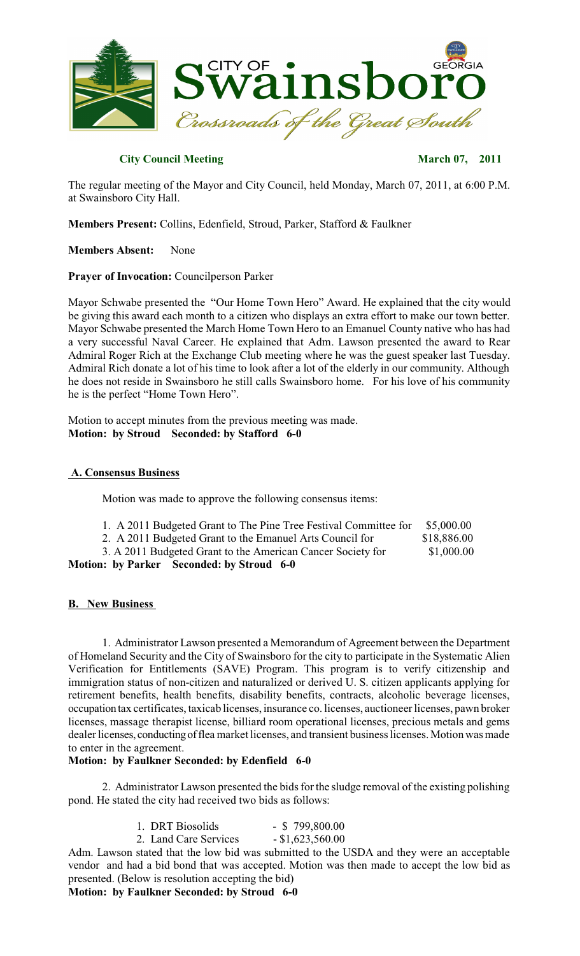

# **City Council Meeting March 07, 2011**

The regular meeting of the Mayor and City Council, held Monday, March 07, 2011, at 6:00 P.M. at Swainsboro City Hall.

**Members Present:** Collins, Edenfield, Stroud, Parker, Stafford & Faulkner

**Members Absent:** None

**Prayer of Invocation:** Councilperson Parker

Mayor Schwabe presented the "Our Home Town Hero" Award. He explained that the city would be giving this award each month to a citizen who displays an extra effort to make our town better. Mayor Schwabe presented the March Home Town Hero to an Emanuel County native who has had a very successful Naval Career. He explained that Adm. Lawson presented the award to Rear Admiral Roger Rich at the Exchange Club meeting where he was the guest speaker last Tuesday. Admiral Rich donate a lot of his time to look after a lot of the elderly in our community. Although he does not reside in Swainsboro he still calls Swainsboro home. For his love of his community he is the perfect "Home Town Hero".

Motion to accept minutes from the previous meeting was made. **Motion: by Stroud Seconded: by Stafford 6-0**

# **A. Consensus Business**

Motion was made to approve the following consensus items:

- 1. A 2011 Budgeted Grant to The Pine Tree Festival Committee for \$5,000.00
- 2. A 2011 Budgeted Grant to the Emanuel Arts Council for \$18,886.00
- 3. A 2011 Budgeted Grant to the American Cancer Society for \$1,000.00

**Motion: by Parker Seconded: by Stroud 6-0**

# **B. New Business**

1. Administrator Lawson presented a Memorandum of Agreement between the Department of Homeland Security and the City of Swainsboro for the city to participate in the Systematic Alien Verification for Entitlements (SAVE) Program. This program is to verify citizenship and immigration status of non-citizen and naturalized or derived U. S. citizen applicants applying for retirement benefits, health benefits, disability benefits, contracts, alcoholic beverage licenses, occupation tax certificates, taxicab licenses, insurance co. licenses, auctioneer licenses, pawn broker licenses, massage therapist license, billiard room operational licenses, precious metals and gems dealer licenses, conducting of flea market licenses, and transient business licenses. Motion was made to enter in the agreement.

# **Motion: by Faulkner Seconded: by Edenfield 6-0**

2. Administrator Lawson presented the bids for the sludge removal of the existing polishing pond. He stated the city had received two bids as follows:

| 1. DRT Biosolids      | $-$ \$ 799,800.00  |
|-----------------------|--------------------|
| 2. Land Care Services | $-$ \$1,623,560.00 |

Adm. Lawson stated that the low bid was submitted to the USDA and they were an acceptable vendor and had a bid bond that was accepted. Motion was then made to accept the low bid as presented. (Below is resolution accepting the bid)

**Motion: by Faulkner Seconded: by Stroud 6-0**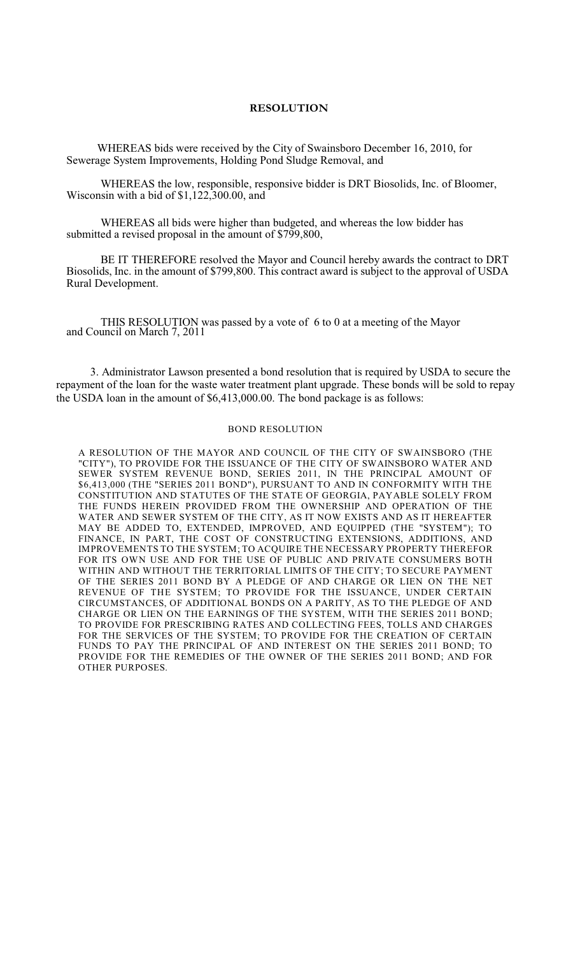# **RESOLUTION**

WHEREAS bids were received by the City of Swainsboro December 16, 2010, for Sewerage System Improvements, Holding Pond Sludge Removal, and

WHEREAS the low, responsible, responsive bidder is DRT Biosolids, Inc. of Bloomer, Wisconsin with a bid of \$1,122,300.00, and

WHEREAS all bids were higher than budgeted, and whereas the low bidder has submitted a revised proposal in the amount of \$799,800,

BE IT THEREFORE resolved the Mayor and Council hereby awards the contract to DRT Biosolids, Inc. in the amount of \$799,800. This contract award is subject to the approval of USDA Rural Development.

THIS RESOLUTION was passed by a vote of 6 to 0 at a meeting of the Mayor and Council on March 7, 2011

3. Administrator Lawson presented a bond resolution that is required by USDA to secure the repayment of the loan for the waste water treatment plant upgrade. These bonds will be sold to repay the USDA loan in the amount of \$6,413,000.00. The bond package is as follows:

### BOND RESOLUTION

A RESOLUTION OF THE MAYOR AND COUNCIL OF THE CITY OF SWAINSBORO (THE "CITY"), TO PROVIDE FOR THE ISSUANCE OF THE CITY OF SWAINSBORO WATER AND SEWER SYSTEM REVENUE BOND, SERIES 2011, IN THE PRINCIPAL AMOUNT OF \$6,413,000 (THE "SERIES 2011 BOND"), PURSUANT TO AND IN CONFORMITY WITH THE CONSTITUTION AND STATUTES OF THE STATE OF GEORGIA, PAYABLE SOLELY FROM THE FUNDS HEREIN PROVIDED FROM THE OWNERSHIP AND OPERATION OF THE WATER AND SEWER SYSTEM OF THE CITY, AS IT NOW EXISTS AND AS IT HEREAFTER MAY BE ADDED TO, EXTENDED, IMPROVED, AND EQUIPPED (THE "SYSTEM"); TO FINANCE, IN PART, THE COST OF CONSTRUCTING EXTENSIONS, ADDITIONS, AND IMPROVEMENTS TO THE SYSTEM; TO ACQUIRE THE NECESSARY PROPERTY THEREFOR FOR ITS OWN USE AND FOR THE USE OF PUBLIC AND PRIVATE CONSUMERS BOTH WITHIN AND WITHOUT THE TERRITORIAL LIMITS OF THE CITY; TO SECURE PAYMENT OF THE SERIES 2011 BOND BY A PLEDGE OF AND CHARGE OR LIEN ON THE NET REVENUE OF THE SYSTEM; TO PROVIDE FOR THE ISSUANCE, UNDER CERTAIN CIRCUMSTANCES, OF ADDITIONAL BONDS ON A PARITY, AS TO THE PLEDGE OF AND CHARGE OR LIEN ON THE EARNINGS OF THE SYSTEM, WITH THE SERIES 2011 BOND; TO PROVIDE FOR PRESCRIBING RATES AND COLLECTING FEES, TOLLS AND CHARGES FOR THE SERVICES OF THE SYSTEM; TO PROVIDE FOR THE CREATION OF CERTAIN FUNDS TO PAY THE PRINCIPAL OF AND INTEREST ON THE SERIES 2011 BOND; TO PROVIDE FOR THE REMEDIES OF THE OWNER OF THE SERIES 2011 BOND; AND FOR OTHER PURPOSES.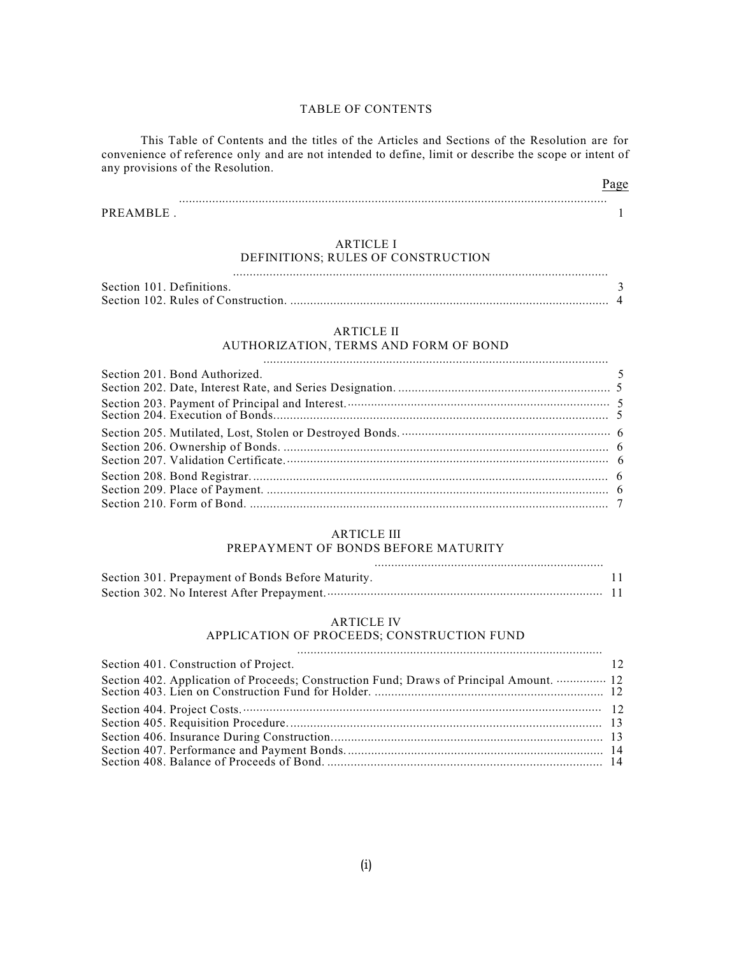### TABLE OF CONTENTS

This Table of Contents and the titles of the Articles and Sections of the Resolution are for convenience of reference only and are not intended to define, limit or describe the scope or intent of any provisions of the Resolution.

| PREAMBLE |  |
|----------|--|

# ARTICLE I

.................................................................................................................

Page

# DEFINITIONS; RULES OF CONSTRUCTION

| Section 101. Definitions. |  |
|---------------------------|--|
|                           |  |

### ARTICLE II

# AUTHORIZATION, TERMS AND FORM OF BOND

| $\sim$ 5<br>Section 201. Bond Authorized. |  |
|-------------------------------------------|--|
|                                           |  |
|                                           |  |
|                                           |  |
|                                           |  |
|                                           |  |
|                                           |  |
|                                           |  |
|                                           |  |

### ARTICLE III

### PREPAYMENT OF BONDS BEFORE MATURITY

| Section 301. Prepayment of Bonds Before Maturity. |  |
|---------------------------------------------------|--|
|                                                   |  |

#### ARTICLE IV

### APPLICATION OF PROCEEDS; CONSTRUCTION FUND

| Section 401. Construction of Project. | 12 |
|---------------------------------------|----|
|                                       |    |
|                                       |    |
|                                       |    |
|                                       |    |
|                                       |    |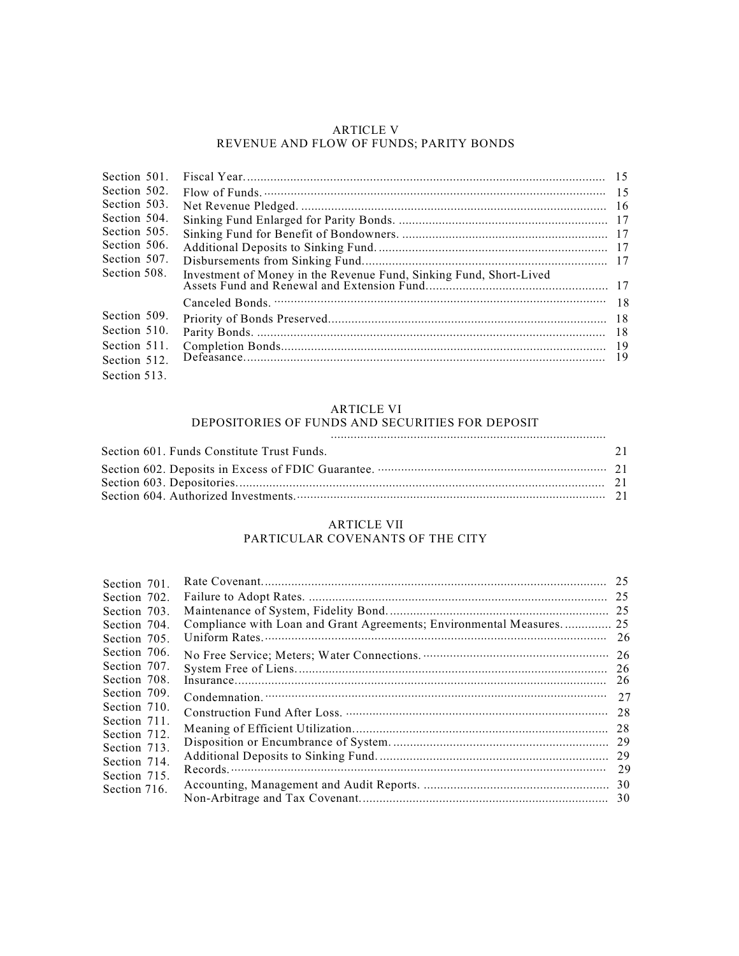### ARTICLE V REVENUE AND FLOW OF FUNDS; PARITY BONDS

| Section 501. |                                                                    |  |
|--------------|--------------------------------------------------------------------|--|
| Section 502. |                                                                    |  |
| Section 503. |                                                                    |  |
| Section 504. |                                                                    |  |
| Section 505. |                                                                    |  |
| Section 506. |                                                                    |  |
| Section 507. |                                                                    |  |
| Section 508. | Investment of Money in the Revenue Fund, Sinking Fund, Short-Lived |  |
|              |                                                                    |  |
| Section 509. |                                                                    |  |
| Section 510. |                                                                    |  |
| Section 511. |                                                                    |  |
| Section 512. |                                                                    |  |
| Section 513. |                                                                    |  |

### ARTICLE VI

# DEPOSITORIES OF FUNDS AND SECURITIES FOR DEPOSIT

...................................................................................

| Section 601. Funds Constitute Trust Funds. | 2.1 |
|--------------------------------------------|-----|
|                                            |     |
|                                            |     |
|                                            |     |

### ARTICLE VII PARTICULAR COVENANTS OF THE CITY

| Section 701. |                                                                      | 25  |
|--------------|----------------------------------------------------------------------|-----|
| Section 702. |                                                                      |     |
| Section 703. |                                                                      |     |
| Section 704. | Compliance with Loan and Grant Agreements; Environmental Measures 25 |     |
| Section 705. |                                                                      | 26  |
| Section 706. |                                                                      | -26 |
| Section 707. |                                                                      | 26  |
| Section 708. |                                                                      | 26  |
| Section 709. |                                                                      | 27  |
| Section 710. |                                                                      | 28  |
| Section 711. |                                                                      | 28  |
| Section 712. |                                                                      | 29  |
| Section 713. |                                                                      |     |
| Section 714. |                                                                      | 29  |
| Section 715. |                                                                      |     |
| Section 716. |                                                                      |     |
|              |                                                                      |     |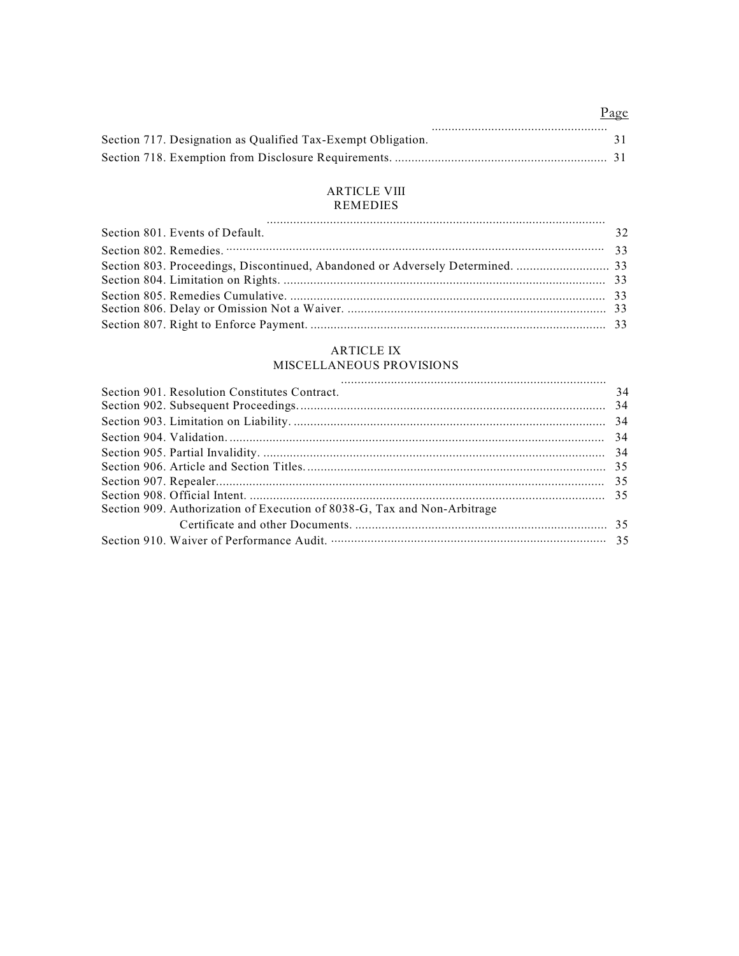# Page

| Section 717. Designation as Qualified Tax-Exempt Obligation. |  |  |
|--------------------------------------------------------------|--|--|
|                                                              |  |  |

### ARTICLE VIII REMEDIES

| Section 801. Events of Default. | 32 |
|---------------------------------|----|
|                                 |    |
|                                 |    |
|                                 |    |
|                                 |    |
|                                 |    |
|                                 |    |

# ARTICLE IX

# MISCELLANEOUS PROVISIONS

| Section 901. Resolution Constitutes Contract.                            | 34 |
|--------------------------------------------------------------------------|----|
|                                                                          |    |
|                                                                          |    |
|                                                                          |    |
|                                                                          |    |
|                                                                          |    |
|                                                                          |    |
|                                                                          |    |
| Section 909. Authorization of Execution of 8038-G, Tax and Non-Arbitrage |    |
|                                                                          |    |
|                                                                          |    |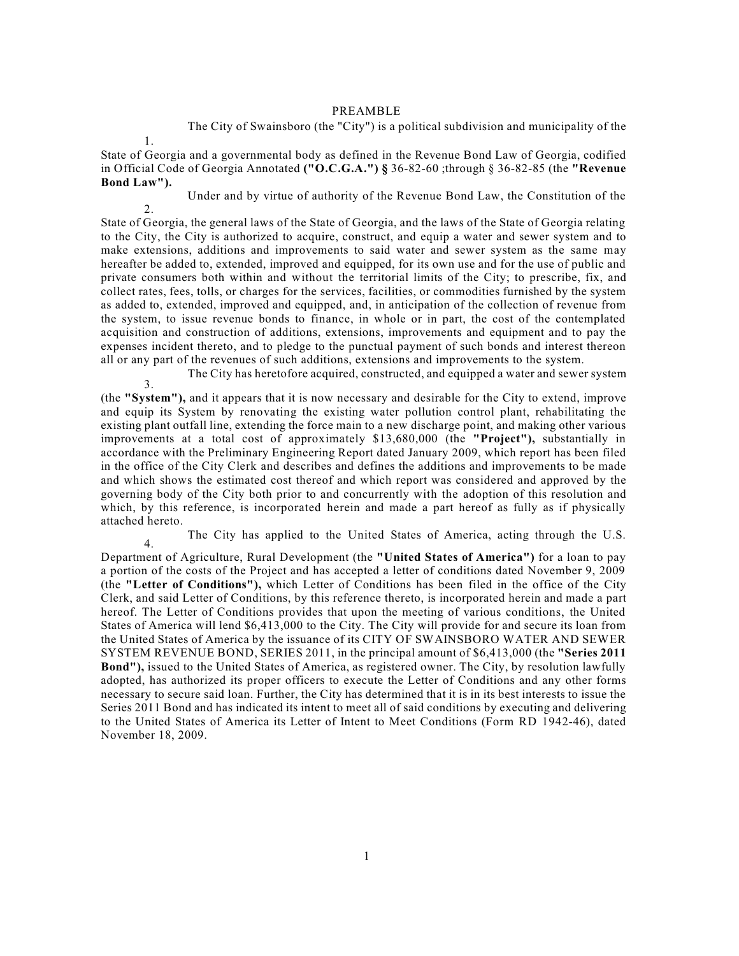#### PREAMBLE

The City of Swainsboro (the "City") is a political subdivision and municipality of the

1.

4.

State of Georgia and a governmental body as defined in the Revenue Bond Law of Georgia, codified in Official Code of Georgia Annotated **("O.C.G.A.") §** 36-82-60 ;through § 36-82-85 (the **"Revenue Bond Law").**

2. Under and by virtue of authority of the Revenue Bond Law, the Constitution of the

State of Georgia, the general laws of the State of Georgia, and the laws of the State of Georgia relating to the City, the City is authorized to acquire, construct, and equip a water and sewer system and to make extensions, additions and improvements to said water and sewer system as the same may hereafter be added to, extended, improved and equipped, for its own use and for the use of public and private consumers both within and without the territorial limits of the City; to prescribe, fix, and collect rates, fees, tolls, or charges for the services, facilities, or commodities furnished by the system as added to, extended, improved and equipped, and, in anticipation of the collection of revenue from the system, to issue revenue bonds to finance, in whole or in part, the cost of the contemplated acquisition and construction of additions, extensions, improvements and equipment and to pay the expenses incident thereto, and to pledge to the punctual payment of such bonds and interest thereon all or any part of the revenues of such additions, extensions and improvements to the system.

3. The City has heretofore acquired, constructed, and equipped a water and sewer system

(the **"System"),** and it appears that it is now necessary and desirable for the City to extend, improve and equip its System by renovating the existing water pollution control plant, rehabilitating the existing plant outfall line, extending the force main to a new discharge point, and making other various improvements at a total cost of approximately \$13,680,000 (the **"Project"),** substantially in accordance with the Preliminary Engineering Report dated January 2009, which report has been filed in the office of the City Clerk and describes and defines the additions and improvements to be made and which shows the estimated cost thereof and which report was considered and approved by the governing body of the City both prior to and concurrently with the adoption of this resolution and which, by this reference, is incorporated herein and made a part hereof as fully as if physically attached hereto.

The City has applied to the United States of America, acting through the U.S.

Department of Agriculture, Rural Development (the **"United States of America")** for a loan to pay a portion of the costs of the Project and has accepted a letter of conditions dated November 9, 2009 (the **"Letter of Conditions"),** which Letter of Conditions has been filed in the office of the City Clerk, and said Letter of Conditions, by this reference thereto, is incorporated herein and made a part hereof. The Letter of Conditions provides that upon the meeting of various conditions, the United States of America will lend \$6,413,000 to the City. The City will provide for and secure its loan from the United States of America by the issuance of its CITY OF SWAINSBORO WATER AND SEWER SYSTEM REVENUE BOND, SERIES 2011, in the principal amount of \$6,413,000 (the **"Series 2011 Bond"),** issued to the United States of America, as registered owner. The City, by resolution lawfully adopted, has authorized its proper officers to execute the Letter of Conditions and any other forms necessary to secure said loan. Further, the City has determined that it is in its best interests to issue the Series 2011 Bond and has indicated its intent to meet all of said conditions by executing and delivering to the United States of America its Letter of Intent to Meet Conditions (Form RD 1942-46), dated November 18, 2009.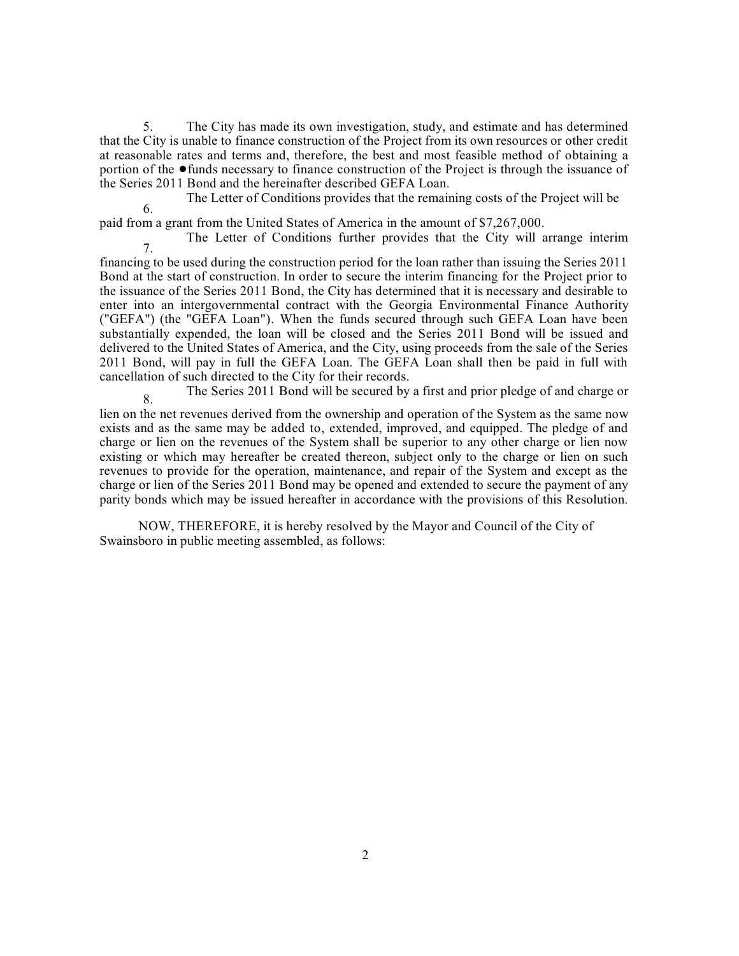5. The City has made its own investigation, study, and estimate and has determined that the City is unable to finance construction of the Project from its own resources or other credit at reasonable rates and terms and, therefore, the best and most feasible method of obtaining a portion of the  $\bullet$  funds necessary to finance construction of the Project is through the issuance of the Series 2011 Bond and the hereinafter described GEFA Loan.

6. The Letter of Conditions provides that the remaining costs of the Project will be

paid from a grant from the United States of America in the amount of \$7,267,000.

7. The Letter of Conditions further provides that the City will arrange interim

financing to be used during the construction period for the loan rather than issuing the Series 2011 Bond at the start of construction. In order to secure the interim financing for the Project prior to the issuance of the Series 2011 Bond, the City has determined that it is necessary and desirable to enter into an intergovernmental contract with the Georgia Environmental Finance Authority ("GEFA") (the "GEFA Loan"). When the funds secured through such GEFA Loan have been substantially expended, the loan will be closed and the Series 2011 Bond will be issued and delivered to the United States of America, and the City, using proceeds from the sale of the Series 2011 Bond, will pay in full the GEFA Loan. The GEFA Loan shall then be paid in full with cancellation of such directed to the City for their records.

8. The Series 2011 Bond will be secured by a first and prior pledge of and charge or

lien on the net revenues derived from the ownership and operation of the System as the same now exists and as the same may be added to, extended, improved, and equipped. The pledge of and charge or lien on the revenues of the System shall be superior to any other charge or lien now existing or which may hereafter be created thereon, subject only to the charge or lien on such revenues to provide for the operation, maintenance, and repair of the System and except as the charge or lien of the Series 2011 Bond may be opened and extended to secure the payment of any parity bonds which may be issued hereafter in accordance with the provisions of this Resolution.

NOW, THEREFORE, it is hereby resolved by the Mayor and Council of the City of Swainsboro in public meeting assembled, as follows: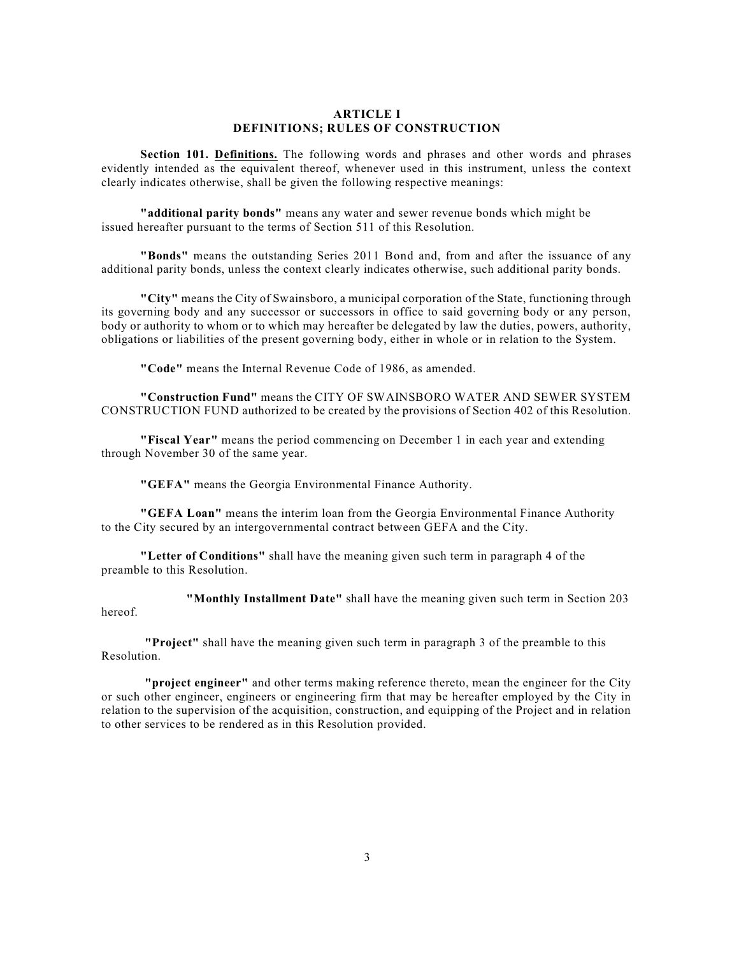#### **ARTICLE I DEFINITIONS; RULES OF CONSTRUCTION**

**Section 101. Definitions.** The following words and phrases and other words and phrases evidently intended as the equivalent thereof, whenever used in this instrument, unless the context clearly indicates otherwise, shall be given the following respective meanings:

**"additional parity bonds"** means any water and sewer revenue bonds which might be issued hereafter pursuant to the terms of Section 511 of this Resolution.

**"Bonds"** means the outstanding Series 2011 Bond and, from and after the issuance of any additional parity bonds, unless the context clearly indicates otherwise, such additional parity bonds.

**"City"** means the City of Swainsboro, a municipal corporation of the State, functioning through its governing body and any successor or successors in office to said governing body or any person, body or authority to whom or to which may hereafter be delegated by law the duties, powers, authority, obligations or liabilities of the present governing body, either in whole or in relation to the System.

**"Code"** means the Internal Revenue Code of 1986, as amended.

**"Construction Fund"** means the CITY OF SWAINSBORO WATER AND SEWER SYSTEM CONSTRUCTION FUND authorized to be created by the provisions of Section 402 of this Resolution.

**"Fiscal Year"** means the period commencing on December 1 in each year and extending through November 30 of the same year.

**"GEFA"** means the Georgia Environmental Finance Authority.

**"GEFA Loan"** means the interim loan from the Georgia Environmental Finance Authority to the City secured by an intergovernmental contract between GEFA and the City.

**"Letter of Conditions"** shall have the meaning given such term in paragraph 4 of the preamble to this Resolution.

**"Monthly Installment Date"** shall have the meaning given such term in Section 203

**"Project"** shall have the meaning given such term in paragraph 3 of the preamble to this Resolution.

hereof.

**"project engineer"** and other terms making reference thereto, mean the engineer for the City or such other engineer, engineers or engineering firm that may be hereafter employed by the City in relation to the supervision of the acquisition, construction, and equipping of the Project and in relation to other services to be rendered as in this Resolution provided.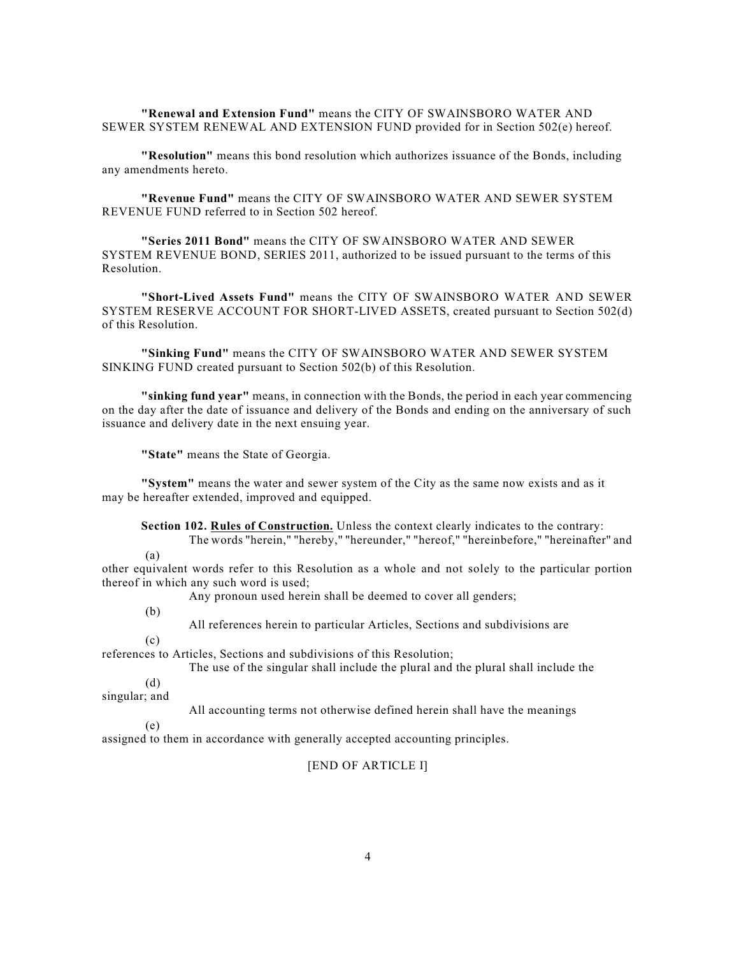**"Renewal and Extension Fund"** means the CITY OF SWAINSBORO WATER AND SEWER SYSTEM RENEWAL AND EXTENSION FUND provided for in Section 502(e) hereof.

**"Resolution"** means this bond resolution which authorizes issuance of the Bonds, including any amendments hereto.

**"Revenue Fund"** means the CITY OF SWAINSBORO WATER AND SEWER SYSTEM REVENUE FUND referred to in Section 502 hereof.

**"Series 2011 Bond"** means the CITY OF SWAINSBORO WATER AND SEWER SYSTEM REVENUE BOND, SERIES 2011, authorized to be issued pursuant to the terms of this Resolution.

**"Short-Lived Assets Fund"** means the CITY OF SWAINSBORO WATER AND SEWER SYSTEM RESERVE ACCOUNT FOR SHORT-LIVED ASSETS, created pursuant to Section 502(d) of this Resolution.

**"Sinking Fund"** means the CITY OF SWAINSBORO WATER AND SEWER SYSTEM SINKING FUND created pursuant to Section 502(b) of this Resolution.

**"sinking fund year"** means, in connection with the Bonds, the period in each year commencing on the day after the date of issuance and delivery of the Bonds and ending on the anniversary of such issuance and delivery date in the next ensuing year.

**"State"** means the State of Georgia.

**"System"** means the water and sewer system of the City as the same now exists and as it may be hereafter extended, improved and equipped.

**Section 102. Rules of Construction.** Unless the context clearly indicates to the contrary:

The words "herein," "hereby," "hereunder," "hereof," "hereinbefore," "hereinafter" and

other equivalent words refer to this Resolution as a whole and not solely to the particular portion thereof in which any such word is used;

Any pronoun used herein shall be deemed to cover all genders;

(b)

(a)

All references herein to particular Articles, Sections and subdivisions are

 $(c)$ 

references to Articles, Sections and subdivisions of this Resolution;

The use of the singular shall include the plural and the plural shall include the

(d)

singular; and

All accounting terms not otherwise defined herein shall have the meanings

(e)

assigned to them in accordance with generally accepted accounting principles.

[END OF ARTICLE I]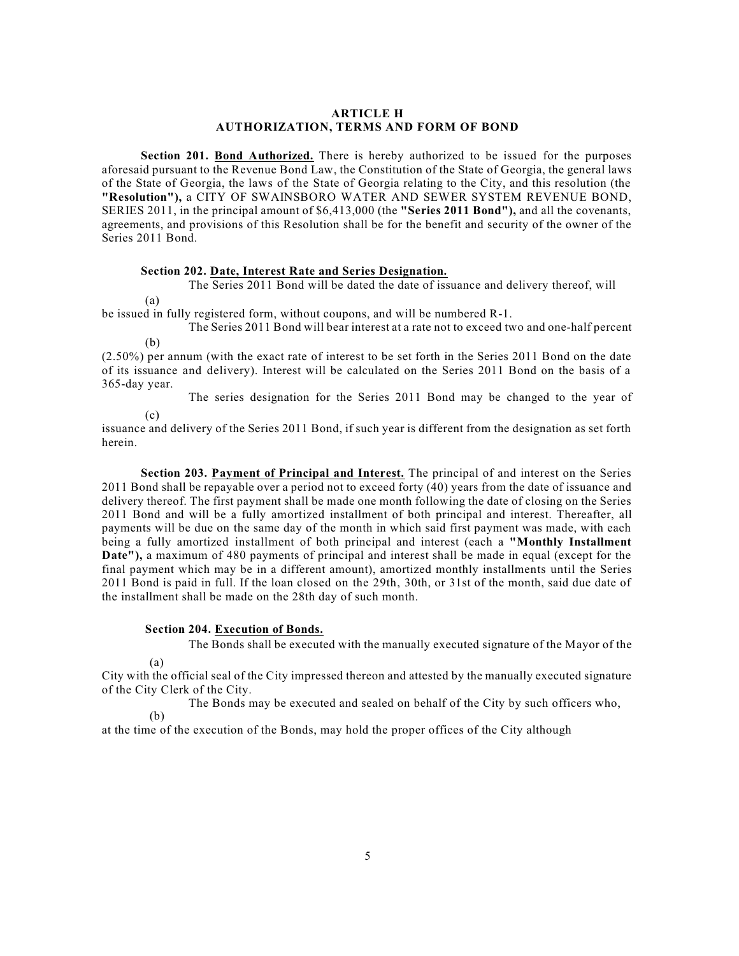#### **ARTICLE H AUTHORIZATION, TERMS AND FORM OF BOND**

**Section 201. Bond Authorized.** There is hereby authorized to be issued for the purposes aforesaid pursuant to the Revenue Bond Law, the Constitution of the State of Georgia, the general laws of the State of Georgia, the laws of the State of Georgia relating to the City, and this resolution (the **"Resolution"),** a CITY OF SWAINSBORO WATER AND SEWER SYSTEM REVENUE BOND, SERIES 2011, in the principal amount of \$6,413,000 (the **"Series 2011 Bond"),** and all the covenants, agreements, and provisions of this Resolution shall be for the benefit and security of the owner of the Series 2011 Bond.

### **Section 202. Date, Interest Rate and Series Designation.**

The Series 2011 Bond will be dated the date of issuance and delivery thereof, will

be issued in fully registered form, without coupons, and will be numbered R-1.

(b) The Series 2011 Bond will bear interest at a rate not to exceed two and one-half percent

(2.50%) per annum (with the exact rate of interest to be set forth in the Series 2011 Bond on the date of its issuance and delivery). Interest will be calculated on the Series 2011 Bond on the basis of a 365-day year.

The series designation for the Series 2011 Bond may be changed to the year of

(c)

(a)

issuance and delivery of the Series 2011 Bond, if such year is different from the designation as set forth herein.

**Section 203. Payment of Principal and Interest.** The principal of and interest on the Series 2011 Bond shall be repayable over a period not to exceed forty (40) years from the date of issuance and delivery thereof. The first payment shall be made one month following the date of closing on the Series 2011 Bond and will be a fully amortized installment of both principal and interest. Thereafter, all payments will be due on the same day of the month in which said first payment was made, with each being a fully amortized installment of both principal and interest (each a **"Monthly Installment Date"),** a maximum of 480 payments of principal and interest shall be made in equal (except for the final payment which may be in a different amount), amortized monthly installments until the Series 2011 Bond is paid in full. If the loan closed on the 29th, 30th, or 31st of the month, said due date of the installment shall be made on the 28th day of such month.

#### **Section 204. Execution of Bonds.**

The Bonds shall be executed with the manually executed signature of the Mayor of the

(a)

City with the official seal of the City impressed thereon and attested by the manually executed signature of the City Clerk of the City.

(b) The Bonds may be executed and sealed on behalf of the City by such officers who,

at the time of the execution of the Bonds, may hold the proper offices of the City although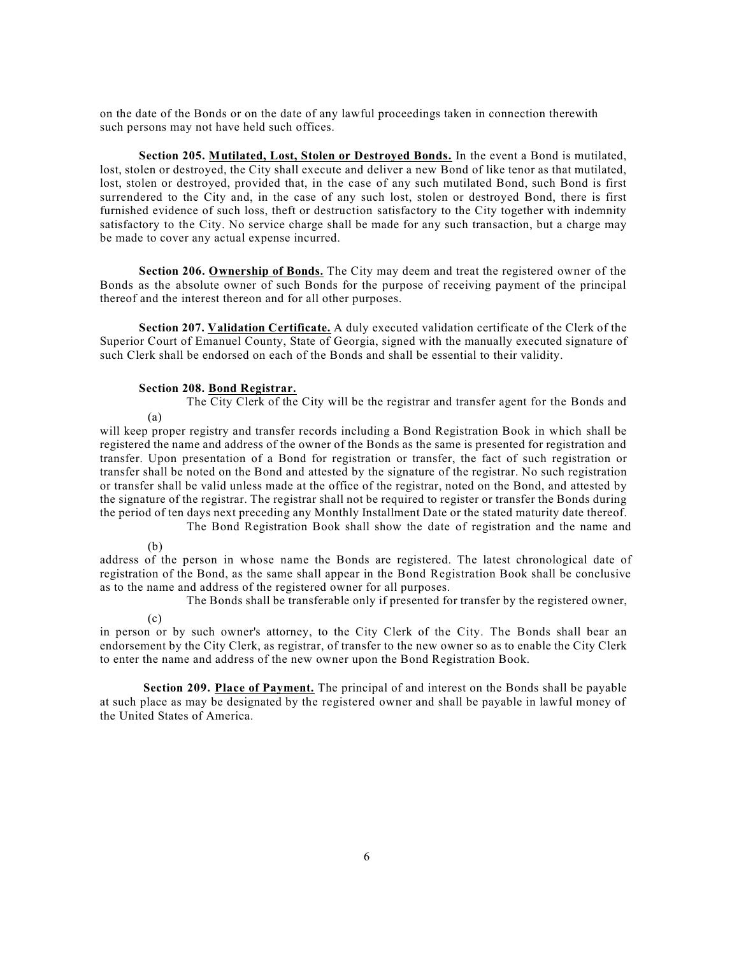on the date of the Bonds or on the date of any lawful proceedings taken in connection therewith such persons may not have held such offices.

**Section 205. Mutilated, Lost, Stolen or Destroyed Bonds.** In the event a Bond is mutilated, lost, stolen or destroyed, the City shall execute and deliver a new Bond of like tenor as that mutilated, lost, stolen or destroyed, provided that, in the case of any such mutilated Bond, such Bond is first surrendered to the City and, in the case of any such lost, stolen or destroyed Bond, there is first furnished evidence of such loss, theft or destruction satisfactory to the City together with indemnity satisfactory to the City. No service charge shall be made for any such transaction, but a charge may be made to cover any actual expense incurred.

**Section 206. Ownership of Bonds.** The City may deem and treat the registered owner of the Bonds as the absolute owner of such Bonds for the purpose of receiving payment of the principal thereof and the interest thereon and for all other purposes.

**Section 207. Validation Certificate.** A duly executed validation certificate of the Clerk of the Superior Court of Emanuel County, State of Georgia, signed with the manually executed signature of such Clerk shall be endorsed on each of the Bonds and shall be essential to their validity.

#### **Section 208. Bond Registrar.**

The City Clerk of the City will be the registrar and transfer agent for the Bonds and

will keep proper registry and transfer records including a Bond Registration Book in which shall be registered the name and address of the owner of the Bonds as the same is presented for registration and transfer. Upon presentation of a Bond for registration or transfer, the fact of such registration or transfer shall be noted on the Bond and attested by the signature of the registrar. No such registration or transfer shall be valid unless made at the office of the registrar, noted on the Bond, and attested by the signature of the registrar. The registrar shall not be required to register or transfer the Bonds during the period of ten days next preceding any Monthly Installment Date or the stated maturity date thereof.

The Bond Registration Book shall show the date of registration and the name and

(b)

(a)

address of the person in whose name the Bonds are registered. The latest chronological date of registration of the Bond, as the same shall appear in the Bond Registration Book shall be conclusive as to the name and address of the registered owner for all purposes.

The Bonds shall be transferable only if presented for transfer by the registered owner,

(c)

in person or by such owner's attorney, to the City Clerk of the City. The Bonds shall bear an endorsement by the City Clerk, as registrar, of transfer to the new owner so as to enable the City Clerk to enter the name and address of the new owner upon the Bond Registration Book.

**Section 209. Place of Payment.** The principal of and interest on the Bonds shall be payable at such place as may be designated by the registered owner and shall be payable in lawful money of the United States of America.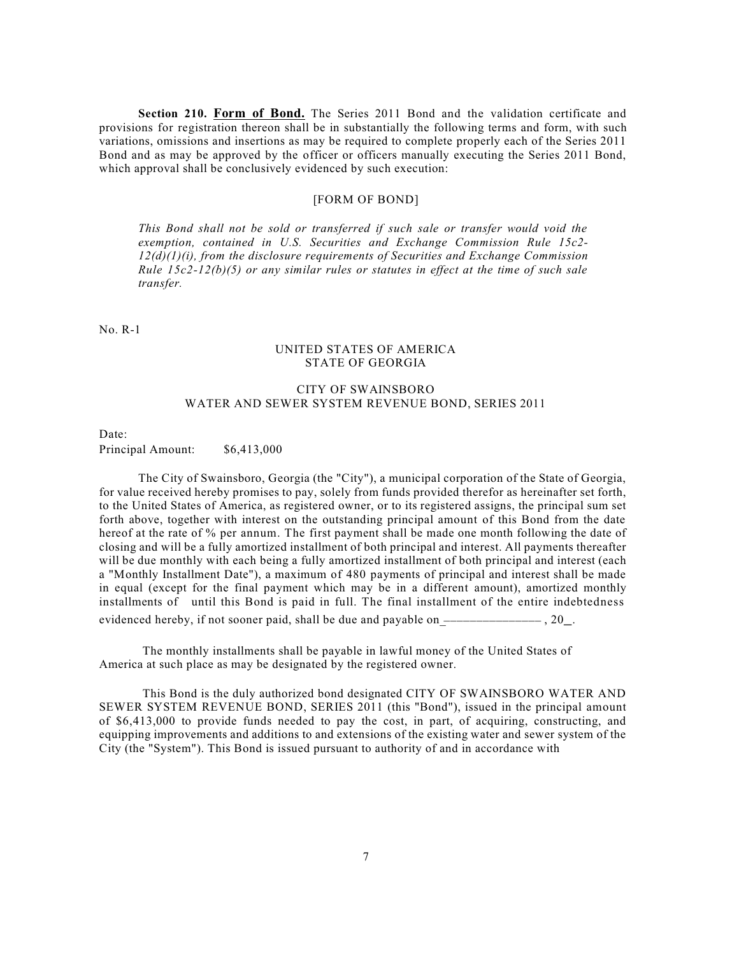**Section 210. Form of Bond.** The Series 2011 Bond and the validation certificate and provisions for registration thereon shall be in substantially the following terms and form, with such variations, omissions and insertions as may be required to complete properly each of the Series 2011 Bond and as may be approved by the officer or officers manually executing the Series 2011 Bond, which approval shall be conclusively evidenced by such execution:

### [FORM OF BOND]

*This Bond shall not be sold or transferred if such sale or transfer would void the exemption, contained in U.S. Securities and Exchange Commission Rule 15c2- 12(d)(1)(i), from the disclosure requirements of Securities and Exchange Commission Rule 15c2-12(b)(5) or any similar rules or statutes in effect at the time of such sale transfer.*

No. R-1

#### UNITED STATES OF AMERICA STATE OF GEORGIA

### CITY OF SWAINSBORO WATER AND SEWER SYSTEM REVENUE BOND, SERIES 2011

Date:

#### Principal Amount: \$6,413,000

The City of Swainsboro, Georgia (the "City"), a municipal corporation of the State of Georgia, for value received hereby promises to pay, solely from funds provided therefor as hereinafter set forth, to the United States of America, as registered owner, or to its registered assigns, the principal sum set forth above, together with interest on the outstanding principal amount of this Bond from the date hereof at the rate of % per annum. The first payment shall be made one month following the date of closing and will be a fully amortized installment of both principal and interest. All payments thereafter will be due monthly with each being a fully amortized installment of both principal and interest (each a "Monthly Installment Date"), a maximum of 480 payments of principal and interest shall be made in equal (except for the final payment which may be in a different amount), amortized monthly installments of until this Bond is paid in full. The final installment of the entire indebtedness evidenced hereby, if not sooner paid, shall be due and payable on  $\overline{\phantom{a}}$  ,  $\overline{\phantom{a}}$  ,  $\overline{\phantom{a}}$  ,  $\overline{\phantom{a}}$ 

The monthly installments shall be payable in lawful money of the United States of America at such place as may be designated by the registered owner.

This Bond is the duly authorized bond designated CITY OF SWAINSBORO WATER AND SEWER SYSTEM REVENUE BOND, SERIES 2011 (this "Bond"), issued in the principal amount of \$6,413,000 to provide funds needed to pay the cost, in part, of acquiring, constructing, and equipping improvements and additions to and extensions of the existing water and sewer system of the City (the "System"). This Bond is issued pursuant to authority of and in accordance with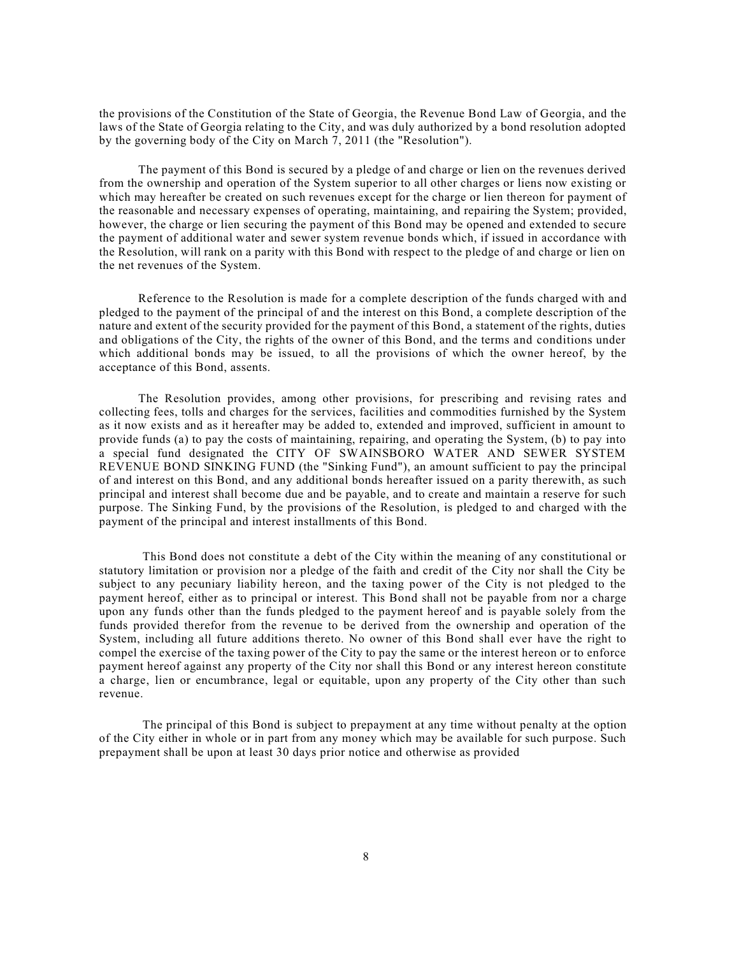the provisions of the Constitution of the State of Georgia, the Revenue Bond Law of Georgia, and the laws of the State of Georgia relating to the City, and was duly authorized by a bond resolution adopted by the governing body of the City on March 7, 2011 (the "Resolution").

The payment of this Bond is secured by a pledge of and charge or lien on the revenues derived from the ownership and operation of the System superior to all other charges or liens now existing or which may hereafter be created on such revenues except for the charge or lien thereon for payment of the reasonable and necessary expenses of operating, maintaining, and repairing the System; provided, however, the charge or lien securing the payment of this Bond may be opened and extended to secure the payment of additional water and sewer system revenue bonds which, if issued in accordance with the Resolution, will rank on a parity with this Bond with respect to the pledge of and charge or lien on the net revenues of the System.

Reference to the Resolution is made for a complete description of the funds charged with and pledged to the payment of the principal of and the interest on this Bond, a complete description of the nature and extent of the security provided for the payment of this Bond, a statement of the rights, duties and obligations of the City, the rights of the owner of this Bond, and the terms and conditions under which additional bonds may be issued, to all the provisions of which the owner hereof, by the acceptance of this Bond, assents.

The Resolution provides, among other provisions, for prescribing and revising rates and collecting fees, tolls and charges for the services, facilities and commodities furnished by the System as it now exists and as it hereafter may be added to, extended and improved, sufficient in amount to provide funds (a) to pay the costs of maintaining, repairing, and operating the System, (b) to pay into a special fund designated the CITY OF SWAINSBORO WATER AND SEWER SYSTEM REVENUE BOND SINKING FUND (the "Sinking Fund"), an amount sufficient to pay the principal of and interest on this Bond, and any additional bonds hereafter issued on a parity therewith, as such principal and interest shall become due and be payable, and to create and maintain a reserve for such purpose. The Sinking Fund, by the provisions of the Resolution, is pledged to and charged with the payment of the principal and interest installments of this Bond.

This Bond does not constitute a debt of the City within the meaning of any constitutional or statutory limitation or provision nor a pledge of the faith and credit of the City nor shall the City be subject to any pecuniary liability hereon, and the taxing power of the City is not pledged to the payment hereof, either as to principal or interest. This Bond shall not be payable from nor a charge upon any funds other than the funds pledged to the payment hereof and is payable solely from the funds provided therefor from the revenue to be derived from the ownership and operation of the System, including all future additions thereto. No owner of this Bond shall ever have the right to compel the exercise of the taxing power of the City to pay the same or the interest hereon or to enforce payment hereof against any property of the City nor shall this Bond or any interest hereon constitute a charge, lien or encumbrance, legal or equitable, upon any property of the City other than such revenue.

The principal of this Bond is subject to prepayment at any time without penalty at the option of the City either in whole or in part from any money which may be available for such purpose. Such prepayment shall be upon at least 30 days prior notice and otherwise as provided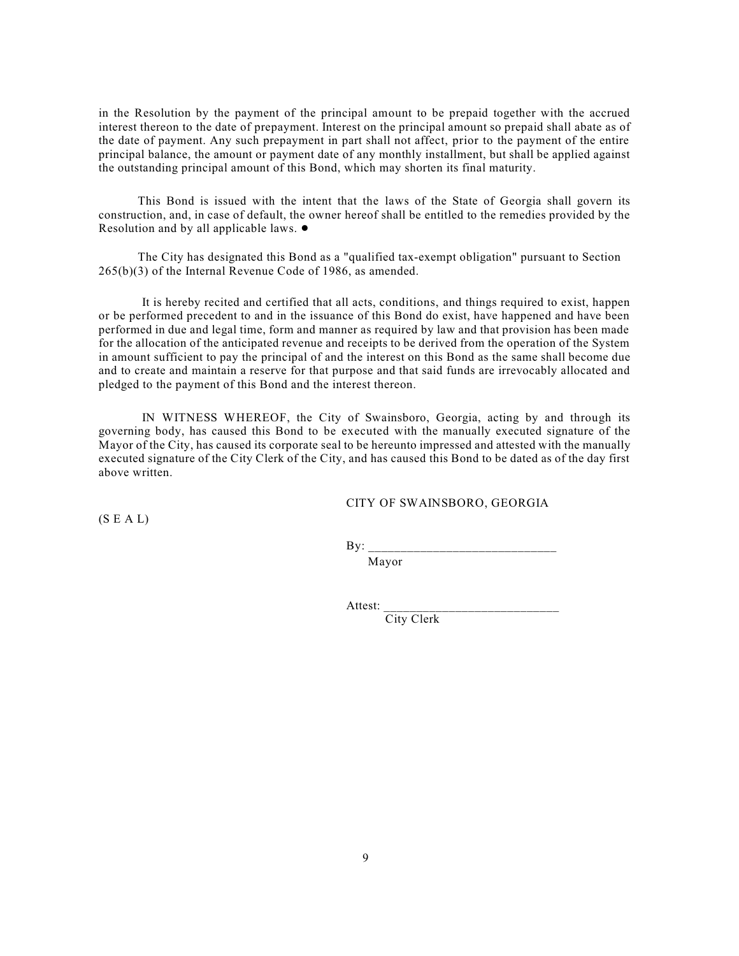in the Resolution by the payment of the principal amount to be prepaid together with the accrued interest thereon to the date of prepayment. Interest on the principal amount so prepaid shall abate as of the date of payment. Any such prepayment in part shall not affect, prior to the payment of the entire principal balance, the amount or payment date of any monthly installment, but shall be applied against the outstanding principal amount of this Bond, which may shorten its final maturity.

This Bond is issued with the intent that the laws of the State of Georgia shall govern its construction, and, in case of default, the owner hereof shall be entitled to the remedies provided by the Resolution and by all applicable laws.  $\bullet$ 

The City has designated this Bond as a "qualified tax-exempt obligation" pursuant to Section 265(b)(3) of the Internal Revenue Code of 1986, as amended.

It is hereby recited and certified that all acts, conditions, and things required to exist, happen or be performed precedent to and in the issuance of this Bond do exist, have happened and have been performed in due and legal time, form and manner as required by law and that provision has been made for the allocation of the anticipated revenue and receipts to be derived from the operation of the System in amount sufficient to pay the principal of and the interest on this Bond as the same shall become due and to create and maintain a reserve for that purpose and that said funds are irrevocably allocated and pledged to the payment of this Bond and the interest thereon.

IN WITNESS WHEREOF, the City of Swainsboro, Georgia, acting by and through its governing body, has caused this Bond to be executed with the manually executed signature of the Mayor of the City, has caused its corporate seal to be hereunto impressed and attested with the manually executed signature of the City Clerk of the City, and has caused this Bond to be dated as of the day first above written.

CITY OF SWAINSBORO, GEORGIA

 $(S E A L)$ 

 $\mathbf{B}v$ : Mayor

Attest: \_\_\_\_\_\_\_\_\_\_\_\_\_\_\_\_\_\_\_\_\_\_\_\_\_\_\_ City Clerk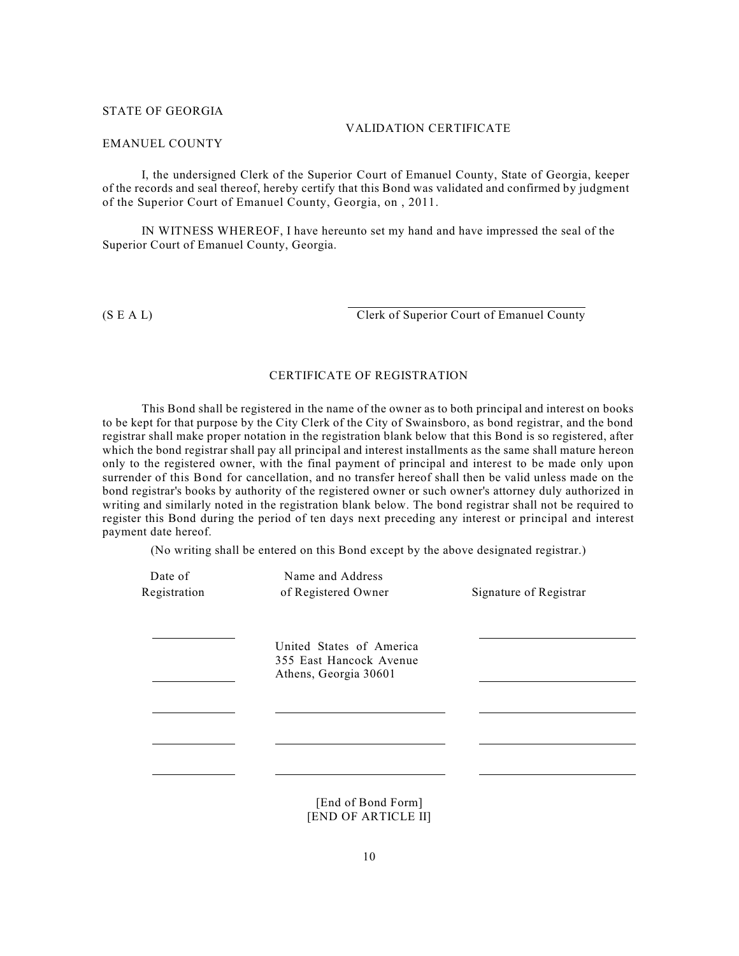#### STATE OF GEORGIA

#### VALIDATION CERTIFICATE

#### EMANUEL COUNTY

I, the undersigned Clerk of the Superior Court of Emanuel County, State of Georgia, keeper of the records and seal thereof, hereby certify that this Bond was validated and confirmed by judgment of the Superior Court of Emanuel County, Georgia, on , 2011.

IN WITNESS WHEREOF, I have hereunto set my hand and have impressed the seal of the Superior Court of Emanuel County, Georgia.

(S E A L) Clerk of Superior Court of Emanuel County

#### CERTIFICATE OF REGISTRATION

This Bond shall be registered in the name of the owner as to both principal and interest on books to be kept for that purpose by the City Clerk of the City of Swainsboro, as bond registrar, and the bond registrar shall make proper notation in the registration blank below that this Bond is so registered, after which the bond registrar shall pay all principal and interest installments as the same shall mature hereon only to the registered owner, with the final payment of principal and interest to be made only upon surrender of this Bond for cancellation, and no transfer hereof shall then be valid unless made on the bond registrar's books by authority of the registered owner or such owner's attorney duly authorized in writing and similarly noted in the registration blank below. The bond registrar shall not be required to register this Bond during the period of ten days next preceding any interest or principal and interest payment date hereof.

(No writing shall be entered on this Bond except by the above designated registrar.)

| Date of<br>Registration | Name and Address<br>of Registered Owner                                      | Signature of Registrar |
|-------------------------|------------------------------------------------------------------------------|------------------------|
|                         | United States of America<br>355 East Hancock Avenue<br>Athens, Georgia 30601 |                        |
|                         |                                                                              |                        |
|                         | [End of Bond Form]                                                           |                        |

[END OF ARTICLE II]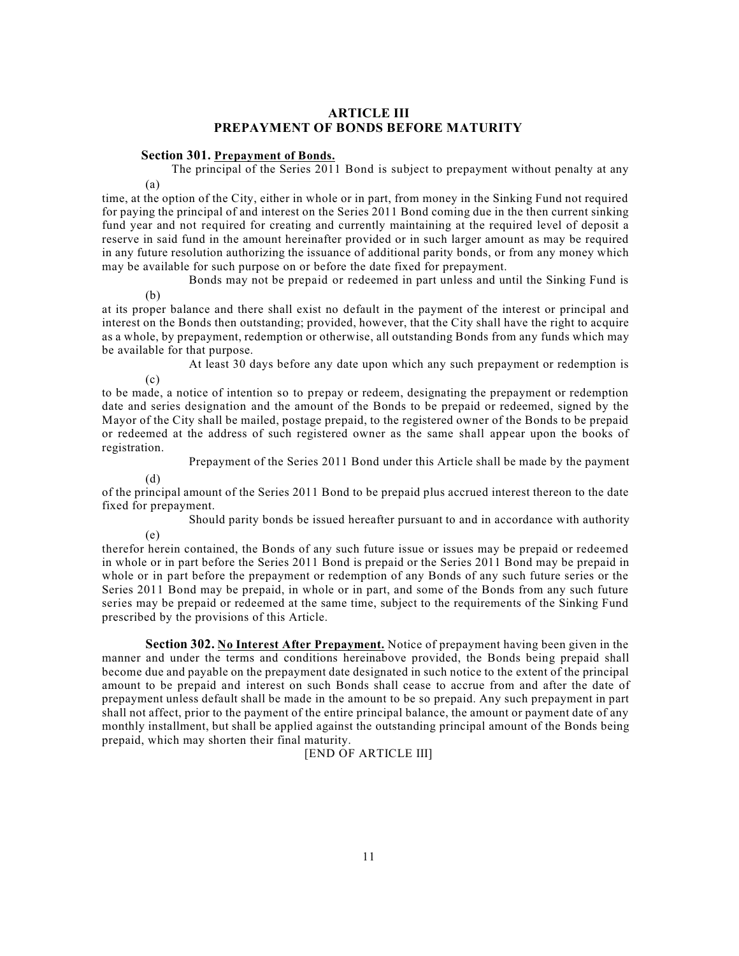### **ARTICLE III PREPAYMENT OF BONDS BEFORE MATURITY**

#### **Section 301. Prepayment of Bonds.**

(a) The principal of the Series 2011 Bond is subject to prepayment without penalty at any

time, at the option of the City, either in whole or in part, from money in the Sinking Fund not required for paying the principal of and interest on the Series 2011 Bond coming due in the then current sinking fund year and not required for creating and currently maintaining at the required level of deposit a reserve in said fund in the amount hereinafter provided or in such larger amount as may be required in any future resolution authorizing the issuance of additional parity bonds, or from any money which may be available for such purpose on or before the date fixed for prepayment.

Bonds may not be prepaid or redeemed in part unless and until the Sinking Fund is

at its proper balance and there shall exist no default in the payment of the interest or principal and interest on the Bonds then outstanding; provided, however, that the City shall have the right to acquire as a whole, by prepayment, redemption or otherwise, all outstanding Bonds from any funds which may be available for that purpose.

At least 30 days before any date upon which any such prepayment or redemption is

to be made, a notice of intention so to prepay or redeem, designating the prepayment or redemption date and series designation and the amount of the Bonds to be prepaid or redeemed, signed by the Mayor of the City shall be mailed, postage prepaid, to the registered owner of the Bonds to be prepaid or redeemed at the address of such registered owner as the same shall appear upon the books of registration.

Prepayment of the Series 2011 Bond under this Article shall be made by the payment

(d)

(e)

(b)

 $(c)$ 

of the principal amount of the Series 2011 Bond to be prepaid plus accrued interest thereon to the date fixed for prepayment.

Should parity bonds be issued hereafter pursuant to and in accordance with authority

therefor herein contained, the Bonds of any such future issue or issues may be prepaid or redeemed in whole or in part before the Series 2011 Bond is prepaid or the Series 2011 Bond may be prepaid in whole or in part before the prepayment or redemption of any Bonds of any such future series or the Series 2011 Bond may be prepaid, in whole or in part, and some of the Bonds from any such future series may be prepaid or redeemed at the same time, subject to the requirements of the Sinking Fund prescribed by the provisions of this Article.

**Section 302. No Interest After Prepayment.** Notice of prepayment having been given in the manner and under the terms and conditions hereinabove provided, the Bonds being prepaid shall become due and payable on the prepayment date designated in such notice to the extent of the principal amount to be prepaid and interest on such Bonds shall cease to accrue from and after the date of prepayment unless default shall be made in the amount to be so prepaid. Any such prepayment in part shall not affect, prior to the payment of the entire principal balance, the amount or payment date of any monthly installment, but shall be applied against the outstanding principal amount of the Bonds being prepaid, which may shorten their final maturity.

[END OF ARTICLE III]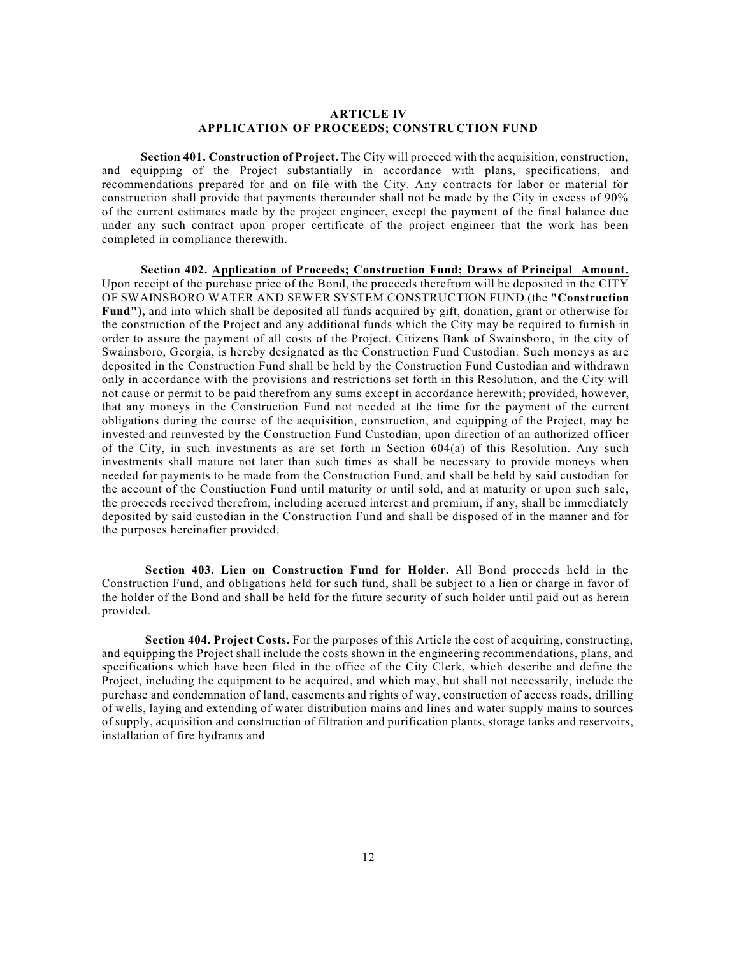#### **ARTICLE IV APPLICATION OF PROCEEDS; CONSTRUCTION FUND**

**Section 401. Construction of Project.** The City will proceed with the acquisition, construction, and equipping of the Project substantially in accordance with plans, specifications, and recommendations prepared for and on file with the City. Any contracts for labor or material for construction shall provide that payments thereunder shall not be made by the City in excess of 90% of the current estimates made by the project engineer, except the payment of the final balance due under any such contract upon proper certificate of the project engineer that the work has been completed in compliance therewith.

**Section 402. Application of Proceeds; Construction Fund; Draws of Principal Amount.** Upon receipt of the purchase price of the Bond, the proceeds therefrom will be deposited in the CITY OF SWAINSBORO WATER AND SEWER SYSTEM CONSTRUCTION FUND (the **"Construction Fund"),** and into which shall be deposited all funds acquired by gift, donation, grant or otherwise for the construction of the Project and any additional funds which the City may be required to furnish in order to assure the payment of all costs of the Project. Citizens Bank of Swainsboro, in the city of Swainsboro, Georgia, is hereby designated as the Construction Fund Custodian. Such moneys as are deposited in the Construction Fund shall be held by the Construction Fund Custodian and withdrawn only in accordance with the provisions and restrictions set forth in this Resolution, and the City will not cause or permit to be paid therefrom any sums except in accordance herewith; provided, however, that any moneys in the Construction Fund not needed at the time for the payment of the current obligations during the course of the acquisition, construction, and equipping of the Project, may be invested and reinvested by the Construction Fund Custodian, upon direction of an authorized officer of the City, in such investments as are set forth in Section 604(a) of this Resolution. Any such investments shall mature not later than such times as shall be necessary to provide moneys when needed for payments to be made from the Construction Fund, and shall be held by said custodian for the account of the Constiuction Fund until maturity or until sold, and at maturity or upon such sale, the proceeds received therefrom, including accrued interest and premium, if any, shall be immediately deposited by said custodian in the Construction Fund and shall be disposed of in the manner and for the purposes hereinafter provided.

**Section 403. Lien on Construction Fund for Holder.** All Bond proceeds held in the Construction Fund, and obligations held for such fund, shall be subject to a lien or charge in favor of the holder of the Bond and shall be held for the future security of such holder until paid out as herein provided.

**Section 404. Project Costs.** For the purposes of this Article the cost of acquiring, constructing, and equipping the Project shall include the costs shown in the engineering recommendations, plans, and specifications which have been filed in the office of the City Clerk, which describe and define the Project, including the equipment to be acquired, and which may, but shall not necessarily, include the purchase and condemnation of land, easements and rights of way, construction of access roads, drilling of wells, laying and extending of water distribution mains and lines and water supply mains to sources of supply, acquisition and construction of filtration and purification plants, storage tanks and reservoirs, installation of fire hydrants and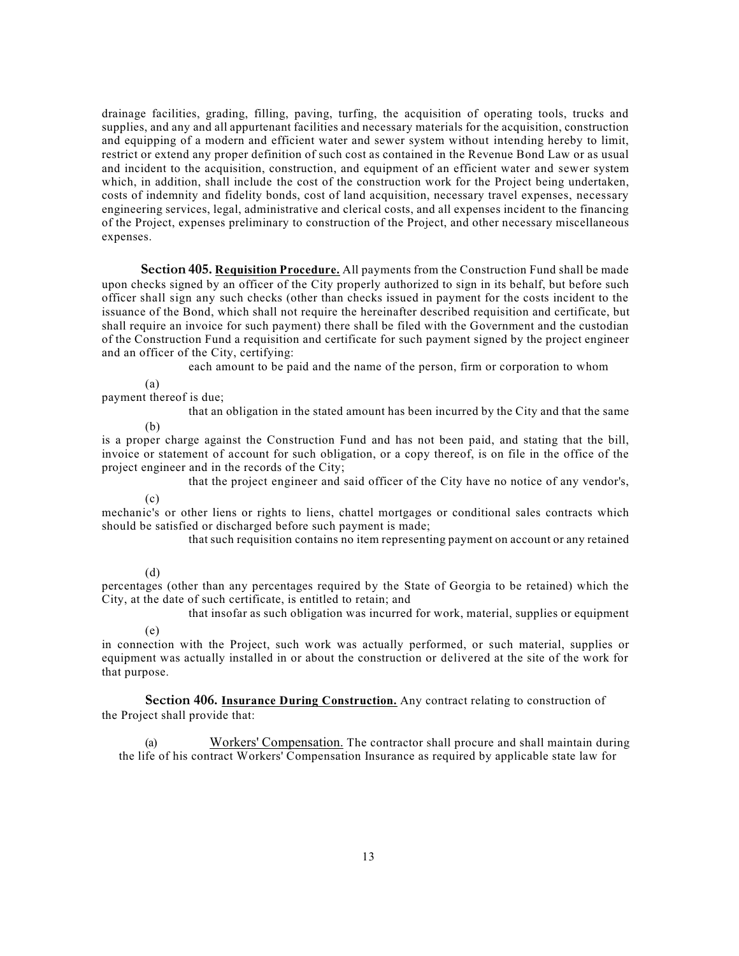drainage facilities, grading, filling, paving, turfing, the acquisition of operating tools, trucks and supplies, and any and all appurtenant facilities and necessary materials for the acquisition, construction and equipping of a modern and efficient water and sewer system without intending hereby to limit, restrict or extend any proper definition of such cost as contained in the Revenue Bond Law or as usual and incident to the acquisition, construction, and equipment of an efficient water and sewer system which, in addition, shall include the cost of the construction work for the Project being undertaken, costs of indemnity and fidelity bonds, cost of land acquisition, necessary travel expenses, necessary engineering services, legal, administrative and clerical costs, and all expenses incident to the financing of the Project, expenses preliminary to construction of the Project, and other necessary miscellaneous expenses.

**Section 405. Requisition Procedure.** All payments from the Construction Fund shall be made upon checks signed by an officer of the City properly authorized to sign in its behalf, but before such officer shall sign any such checks (other than checks issued in payment for the costs incident to the issuance of the Bond, which shall not require the hereinafter described requisition and certificate, but shall require an invoice for such payment) there shall be filed with the Government and the custodian of the Construction Fund a requisition and certificate for such payment signed by the project engineer and an officer of the City, certifying:

each amount to be paid and the name of the person, firm or corporation to whom

(a)

#### payment thereof is due;

that an obligation in the stated amount has been incurred by the City and that the same

(b)

is a proper charge against the Construction Fund and has not been paid, and stating that the bill, invoice or statement of account for such obligation, or a copy thereof, is on file in the office of the project engineer and in the records of the City;

that the project engineer and said officer of the City have no notice of any vendor's,

(c)

mechanic's or other liens or rights to liens, chattel mortgages or conditional sales contracts which should be satisfied or discharged before such payment is made;

that such requisition contains no item representing payment on account or any retained

# (d)

percentages (other than any percentages required by the State of Georgia to be retained) which the City, at the date of such certificate, is entitled to retain; and

(e) that insofar as such obligation was incurred for work, material, supplies or equipment

in connection with the Project, such work was actually performed, or such material, supplies or equipment was actually installed in or about the construction or delivered at the site of the work for that purpose.

**Section 406. Insurance During Construction.** Any contract relating to construction of the Project shall provide that:

(a) Workers' Compensation. The contractor shall procure and shall maintain during the life of his contract Workers' Compensation Insurance as required by applicable state law for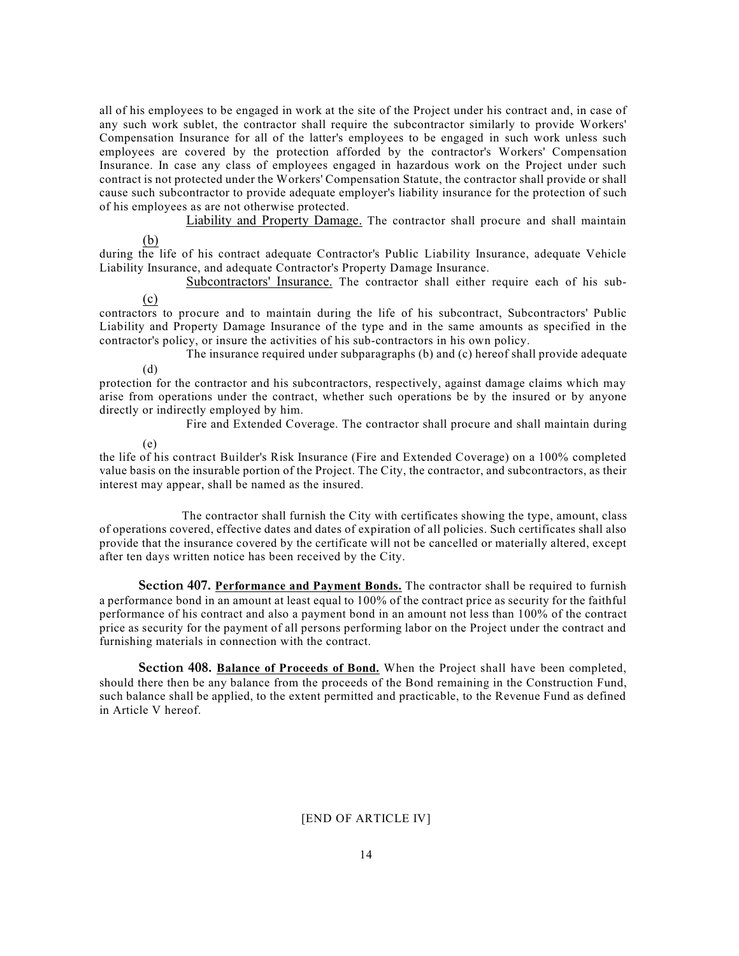all of his employees to be engaged in work at the site of the Project under his contract and, in case of any such work sublet, the contractor shall require the subcontractor similarly to provide Workers' Compensation Insurance for all of the latter's employees to be engaged in such work unless such employees are covered by the protection afforded by the contractor's Workers' Compensation Insurance. In case any class of employees engaged in hazardous work on the Project under such contract is not protected under the Workers' Compensation Statute, the contractor shall provide or shall cause such subcontractor to provide adequate employer's liability insurance for the protection of such of his employees as are not otherwise protected.

Liability and Property Damage. The contractor shall procure and shall maintain

(b)

during the life of his contract adequate Contractor's Public Liability Insurance, adequate Vehicle Liability Insurance, and adequate Contractor's Property Damage Insurance.

Subcontractors' Insurance. The contractor shall either require each of his sub-

(c)

contractors to procure and to maintain during the life of his subcontract, Subcontractors' Public Liability and Property Damage Insurance of the type and in the same amounts as specified in the contractor's policy, or insure the activities of his sub-contractors in his own policy.

(d) The insurance required under subparagraphs (b) and (c) hereof shall provide adequate

protection for the contractor and his subcontractors, respectively, against damage claims which may arise from operations under the contract, whether such operations be by the insured or by anyone directly or indirectly employed by him.

Fire and Extended Coverage. The contractor shall procure and shall maintain during

(e)

the life of his contract Builder's Risk Insurance (Fire and Extended Coverage) on a 100% completed value basis on the insurable portion of the Project. The City, the contractor, and subcontractors, as their interest may appear, shall be named as the insured.

The contractor shall furnish the City with certificates showing the type, amount, class of operations covered, effective dates and dates of expiration of all policies. Such certificates shall also provide that the insurance covered by the certificate will not be cancelled or materially altered, except after ten days written notice has been received by the City.

**Section 407. Performance and Payment Bonds.** The contractor shall be required to furnish a performance bond in an amount at least equal to 100% of the contract price as security for the faithful performance of his contract and also a payment bond in an amount not less than 100% of the contract price as security for the payment of all persons performing labor on the Project under the contract and furnishing materials in connection with the contract.

**Section 408. Balance of Proceeds of Bond.** When the Project shall have been completed, should there then be any balance from the proceeds of the Bond remaining in the Construction Fund, such balance shall be applied, to the extent permitted and practicable, to the Revenue Fund as defined in Article V hereof.

### [END OF ARTICLE IV]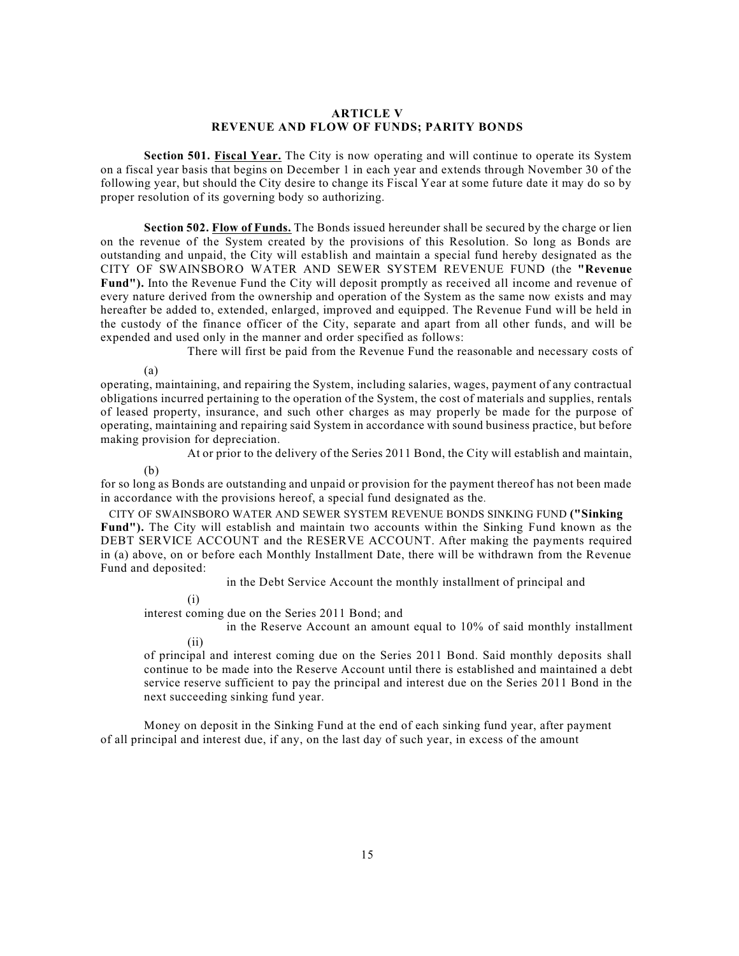#### **ARTICLE V REVENUE AND FLOW OF FUNDS; PARITY BONDS**

**Section 501. Fiscal Year.** The City is now operating and will continue to operate its System on a fiscal year basis that begins on December 1 in each year and extends through November 30 of the following year, but should the City desire to change its Fiscal Year at some future date it may do so by proper resolution of its governing body so authorizing.

**Section 502. Flow of Funds.** The Bonds issued hereunder shall be secured by the charge or lien on the revenue of the System created by the provisions of this Resolution. So long as Bonds are outstanding and unpaid, the City will establish and maintain a special fund hereby designated as the CITY OF SWAINSBORO WATER AND SEWER SYSTEM REVENUE FUND (the **"Revenue Fund").** Into the Revenue Fund the City will deposit promptly as received all income and revenue of every nature derived from the ownership and operation of the System as the same now exists and may hereafter be added to, extended, enlarged, improved and equipped. The Revenue Fund will be held in the custody of the finance officer of the City, separate and apart from all other funds, and will be expended and used only in the manner and order specified as follows:

There will first be paid from the Revenue Fund the reasonable and necessary costs of

(a)

operating, maintaining, and repairing the System, including salaries, wages, payment of any contractual obligations incurred pertaining to the operation of the System, the cost of materials and supplies, rentals of leased property, insurance, and such other charges as may properly be made for the purpose of operating, maintaining and repairing said System in accordance with sound business practice, but before making provision for depreciation.

At or prior to the delivery of the Series 2011 Bond, the City will establish and maintain,

(b)

for so long as Bonds are outstanding and unpaid or provision for the payment thereof has not been made in accordance with the provisions hereof, a special fund designated as the.

CITY OF SWAINSBORO WATER AND SEWER SYSTEM REVENUE BONDS SINKING FUND **("Sinking Fund").** The City will establish and maintain two accounts within the Sinking Fund known as the DEBT SERVICE ACCOUNT and the RESERVE ACCOUNT. After making the payments required in (a) above, on or before each Monthly Installment Date, there will be withdrawn from the Revenue Fund and deposited:

in the Debt Service Account the monthly installment of principal and

(i)

interest coming due on the Series 2011 Bond; and

(ii) in the Reserve Account an amount equal to 10% of said monthly installment

of principal and interest coming due on the Series 2011 Bond. Said monthly deposits shall continue to be made into the Reserve Account until there is established and maintained a debt service reserve sufficient to pay the principal and interest due on the Series 2011 Bond in the next succeeding sinking fund year.

Money on deposit in the Sinking Fund at the end of each sinking fund year, after payment of all principal and interest due, if any, on the last day of such year, in excess of the amount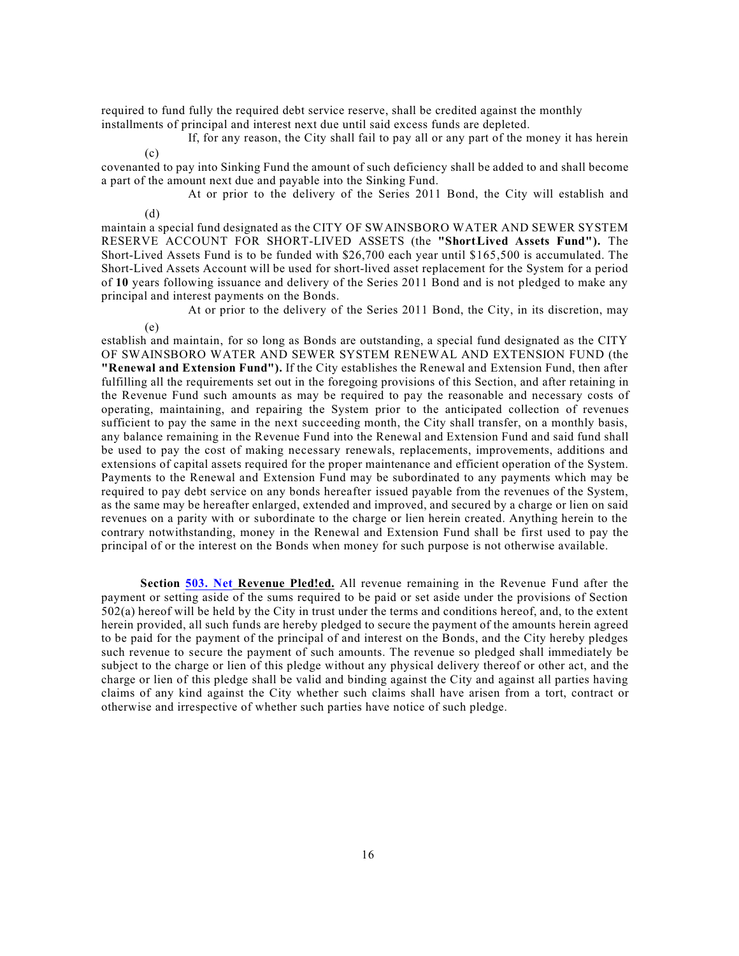required to fund fully the required debt service reserve, shall be credited against the monthly installments of principal and interest next due until said excess funds are depleted.

(c) If, for any reason, the City shall fail to pay all or any part of the money it has herein

covenanted to pay into Sinking Fund the amount of such deficiency shall be added to and shall become a part of the amount next due and payable into the Sinking Fund.

(d) At or prior to the delivery of the Series 2011 Bond, the City will establish and

maintain a special fund designated as the CITY OF SWAINSBORO WATER AND SEWER SYSTEM RESERVE ACCOUNT FOR SHORT-LIVED ASSETS (the **"Short**-**Lived Assets Fund").** The Short-Lived Assets Fund is to be funded with \$26,700 each year until \$165,500 is accumulated. The Short-Lived Assets Account will be used for short-lived asset replacement for the System for a period of **10** years following issuance and delivery of the Series 2011 Bond and is not pledged to make any principal and interest payments on the Bonds.

At or prior to the delivery of the Series 2011 Bond, the City, in its discretion, may

(e)

establish and maintain, for so long as Bonds are outstanding, a special fund designated as the CITY OF SWAINSBORO WATER AND SEWER SYSTEM RENEWAL AND EXTENSION FUND (the **"Renewal and Extension Fund").** If the City establishes the Renewal and Extension Fund, then after fulfilling all the requirements set out in the foregoing provisions of this Section, and after retaining in the Revenue Fund such amounts as may be required to pay the reasonable and necessary costs of operating, maintaining, and repairing the System prior to the anticipated collection of revenues sufficient to pay the same in the next succeeding month, the City shall transfer, on a monthly basis, any balance remaining in the Revenue Fund into the Renewal and Extension Fund and said fund shall be used to pay the cost of making necessary renewals, replacements, improvements, additions and extensions of capital assets required for the proper maintenance and efficient operation of the System. Payments to the Renewal and Extension Fund may be subordinated to any payments which may be required to pay debt service on any bonds hereafter issued payable from the revenues of the System, as the same may be hereafter enlarged, extended and improved, and secured by a charge or lien on said revenues on a parity with or subordinate to the charge or lien herein created. Anything herein to the contrary notwithstanding, money in the Renewal and Extension Fund shall be first used to pay the principal of or the interest on the Bonds when money for such purpose is not otherwise available.

**Section [503.](http://503.Net) Net Revenue Pled!ed.** All revenue remaining in the Revenue Fund after the payment or setting aside of the sums required to be paid or set aside under the provisions of Section 502(a) hereof will be held by the City in trust under the terms and conditions hereof, and, to the extent herein provided, all such funds are hereby pledged to secure the payment of the amounts herein agreed to be paid for the payment of the principal of and interest on the Bonds, and the City hereby pledges such revenue to secure the payment of such amounts. The revenue so pledged shall immediately be subject to the charge or lien of this pledge without any physical delivery thereof or other act, and the charge or lien of this pledge shall be valid and binding against the City and against all parties having claims of any kind against the City whether such claims shall have arisen from a tort, contract or otherwise and irrespective of whether such parties have notice of such pledge.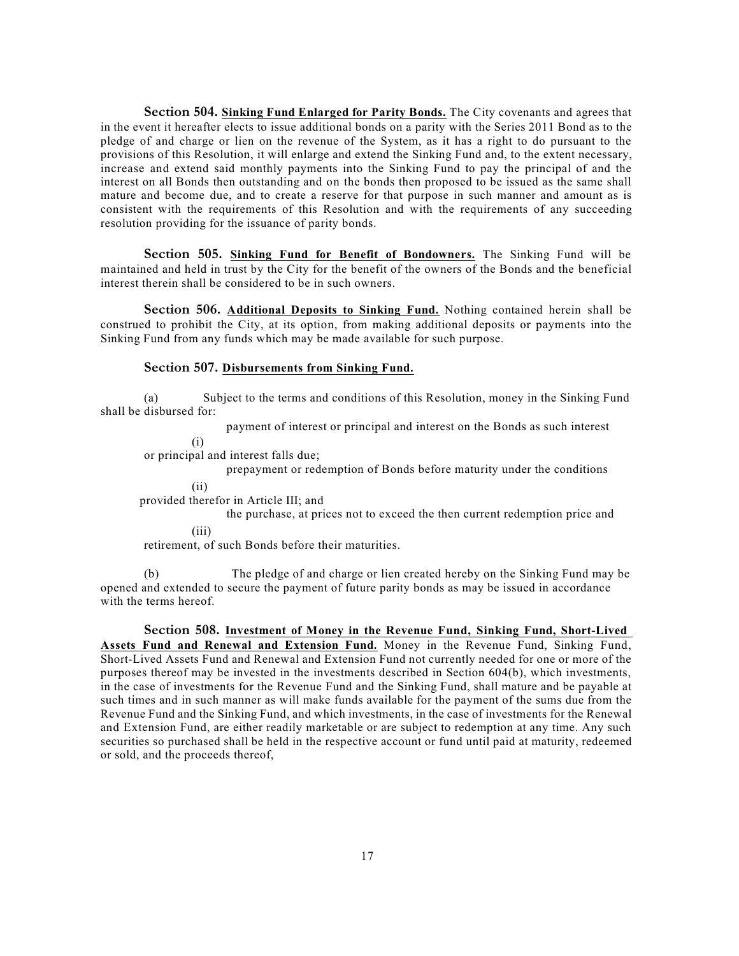**Section 504. Sinking Fund Enlarged for Parity Bonds.** The City covenants and agrees that in the event it hereafter elects to issue additional bonds on a parity with the Series 2011 Bond as to the pledge of and charge or lien on the revenue of the System, as it has a right to do pursuant to the provisions of this Resolution, it will enlarge and extend the Sinking Fund and, to the extent necessary, increase and extend said monthly payments into the Sinking Fund to pay the principal of and the interest on all Bonds then outstanding and on the bonds then proposed to be issued as the same shall mature and become due, and to create a reserve for that purpose in such manner and amount as is consistent with the requirements of this Resolution and with the requirements of any succeeding resolution providing for the issuance of parity bonds.

**Section 505. Sinking Fund for Benefit of Bondowners.** The Sinking Fund will be maintained and held in trust by the City for the benefit of the owners of the Bonds and the beneficial interest therein shall be considered to be in such owners.

**Section 506. Additional Deposits to Sinking Fund.** Nothing contained herein shall be construed to prohibit the City, at its option, from making additional deposits or payments into the Sinking Fund from any funds which may be made available for such purpose.

#### **Section 507. Disbursements from Sinking Fund.**

(a) Subject to the terms and conditions of this Resolution, money in the Sinking Fund shall be disbursed for:

payment of interest or principal and interest on the Bonds as such interest

(i)

or principal and interest falls due;

prepayment or redemption of Bonds before maturity under the conditions

(ii)

provided therefor in Article III; and

(iii) the purchase, at prices not to exceed the then current redemption price and

retirement, of such Bonds before their maturities.

(b) The pledge of and charge or lien created hereby on the Sinking Fund may be opened and extended to secure the payment of future parity bonds as may be issued in accordance with the terms hereof.

**Section 508. Investment of Money in the Revenue Fund, Sinking Fund, Short-Lived Assets Fund and Renewal and Extension Fund.** Money in the Revenue Fund, Sinking Fund, Short-Lived Assets Fund and Renewal and Extension Fund not currently needed for one or more of the purposes thereof may be invested in the investments described in Section 604(b), which investments, in the case of investments for the Revenue Fund and the Sinking Fund, shall mature and be payable at such times and in such manner as will make funds available for the payment of the sums due from the Revenue Fund and the Sinking Fund, and which investments, in the case of investments for the Renewal and Extension Fund, are either readily marketable or are subject to redemption at any time. Any such securities so purchased shall be held in the respective account or fund until paid at maturity, redeemed or sold, and the proceeds thereof,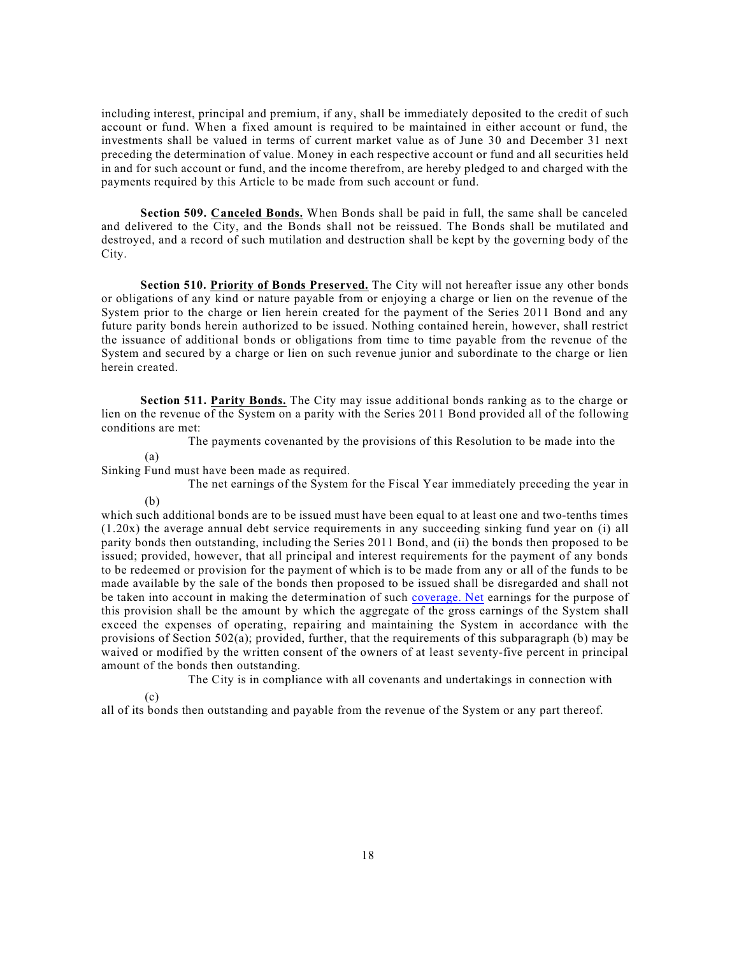including interest, principal and premium, if any, shall be immediately deposited to the credit of such account or fund. When a fixed amount is required to be maintained in either account or fund, the investments shall be valued in terms of current market value as of June 30 and December 31 next preceding the determination of value. Money in each respective account or fund and all securities held in and for such account or fund, and the income therefrom, are hereby pledged to and charged with the payments required by this Article to be made from such account or fund.

**Section 509. Canceled Bonds.** When Bonds shall be paid in full, the same shall be canceled and delivered to the City, and the Bonds shall not be reissued. The Bonds shall be mutilated and destroyed, and a record of such mutilation and destruction shall be kept by the governing body of the City.

**Section 510. Priority of Bonds Preserved.** The City will not hereafter issue any other bonds or obligations of any kind or nature payable from or enjoying a charge or lien on the revenue of the System prior to the charge or lien herein created for the payment of the Series 2011 Bond and any future parity bonds herein authorized to be issued. Nothing contained herein, however, shall restrict the issuance of additional bonds or obligations from time to time payable from the revenue of the System and secured by a charge or lien on such revenue junior and subordinate to the charge or lien herein created.

**Section 511. Parity Bonds.** The City may issue additional bonds ranking as to the charge or lien on the revenue of the System on a parity with the Series 2011 Bond provided all of the following conditions are met:

The payments covenanted by the provisions of this Resolution to be made into the

(a)

Sinking Fund must have been made as required.

The net earnings of the System for the Fiscal Year immediately preceding the year in

(b)

which such additional bonds are to be issued must have been equal to at least one and two-tenths times (1.20x) the average annual debt service requirements in any succeeding sinking fund year on (i) all parity bonds then outstanding, including the Series 2011 Bond, and (ii) the bonds then proposed to be issued; provided, however, that all principal and interest requirements for the payment of any bonds to be redeemed or provision for the payment of which is to be made from any or all of the funds to be made available by the sale of the bonds then proposed to be issued shall be disregarded and shall not be taken into account in making the determination of such [coverage.](http://coverage.Net) Net earnings for the purpose of this provision shall be the amount by which the aggregate of the gross earnings of the System shall exceed the expenses of operating, repairing and maintaining the System in accordance with the provisions of Section 502(a); provided, further, that the requirements of this subparagraph (b) may be waived or modified by the written consent of the owners of at least seventy-five percent in principal amount of the bonds then outstanding.

The City is in compliance with all covenants and undertakings in connection with

(c)

all of its bonds then outstanding and payable from the revenue of the System or any part thereof.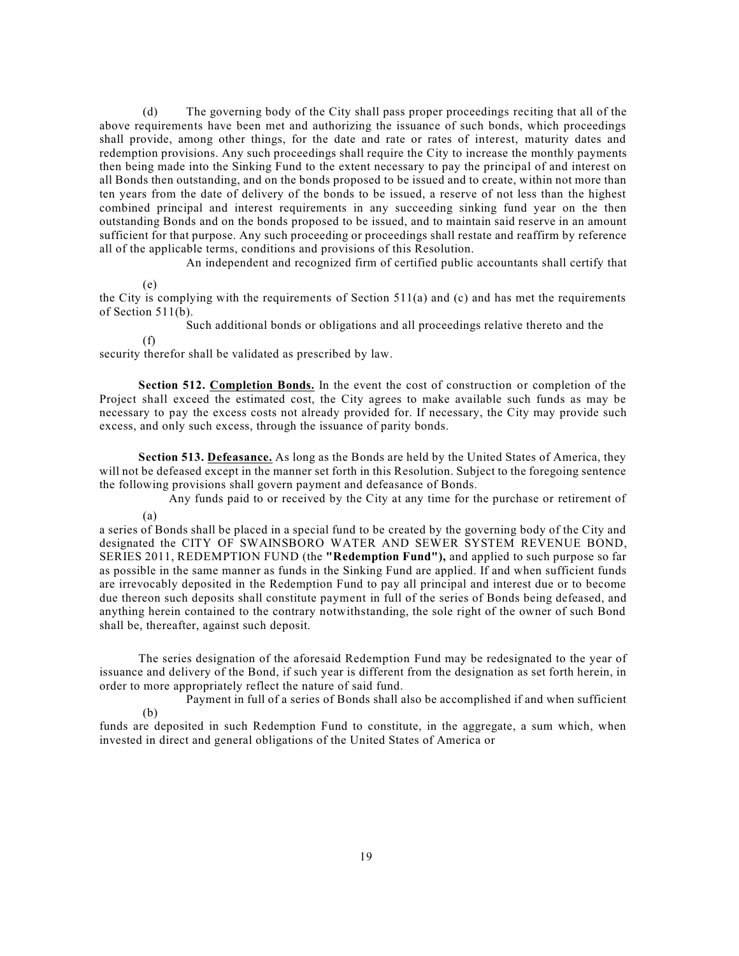(d) The governing body of the City shall pass proper proceedings reciting that all of the above requirements have been met and authorizing the issuance of such bonds, which proceedings shall provide, among other things, for the date and rate or rates of interest, maturity dates and redemption provisions. Any such proceedings shall require the City to increase the monthly payments then being made into the Sinking Fund to the extent necessary to pay the principal of and interest on all Bonds then outstanding, and on the bonds proposed to be issued and to create, within not more than ten years from the date of delivery of the bonds to be issued, a reserve of not less than the highest combined principal and interest requirements in any succeeding sinking fund year on the then outstanding Bonds and on the bonds proposed to be issued, and to maintain said reserve in an amount sufficient for that purpose. Any such proceeding or proceedings shall restate and reaffirm by reference all of the applicable terms, conditions and provisions of this Resolution.

An independent and recognized firm of certified public accountants shall certify that

(e)

the City is complying with the requirements of Section  $511(a)$  and (c) and has met the requirements of Section 511(b).

Such additional bonds or obligations and all proceedings relative thereto and the

(f)

security therefor shall be validated as prescribed by law.

**Section 512. Completion Bonds.** In the event the cost of construction or completion of the Project shall exceed the estimated cost, the City agrees to make available such funds as may be necessary to pay the excess costs not already provided for. If necessary, the City may provide such excess, and only such excess, through the issuance of parity bonds.

**Section 513. Defeasance.** As long as the Bonds are held by the United States of America, they will not be defeased except in the manner set forth in this Resolution. Subject to the foregoing sentence the following provisions shall govern payment and defeasance of Bonds.

(a) Any funds paid to or received by the City at any time for the purchase or retirement of

a series of Bonds shall be placed in a special fund to be created by the governing body of the City and designated the CITY OF SWAINSBORO WATER AND SEWER SYSTEM REVENUE BOND, SERIES 2011, REDEMPTION FUND (the **"Redemption Fund"),** and applied to such purpose so far as possible in the same manner as funds in the Sinking Fund are applied. If and when sufficient funds are irrevocably deposited in the Redemption Fund to pay all principal and interest due or to become due thereon such deposits shall constitute payment in full of the series of Bonds being defeased, and anything herein contained to the contrary notwithstanding, the sole right of the owner of such Bond shall be, thereafter, against such deposit.

The series designation of the aforesaid Redemption Fund may be redesignated to the year of issuance and delivery of the Bond, if such year is different from the designation as set forth herein, in order to more appropriately reflect the nature of said fund.

(b) Payment in full of a series of Bonds shall also be accomplished if and when sufficient

funds are deposited in such Redemption Fund to constitute, in the aggregate, a sum which, when invested in direct and general obligations of the United States of America or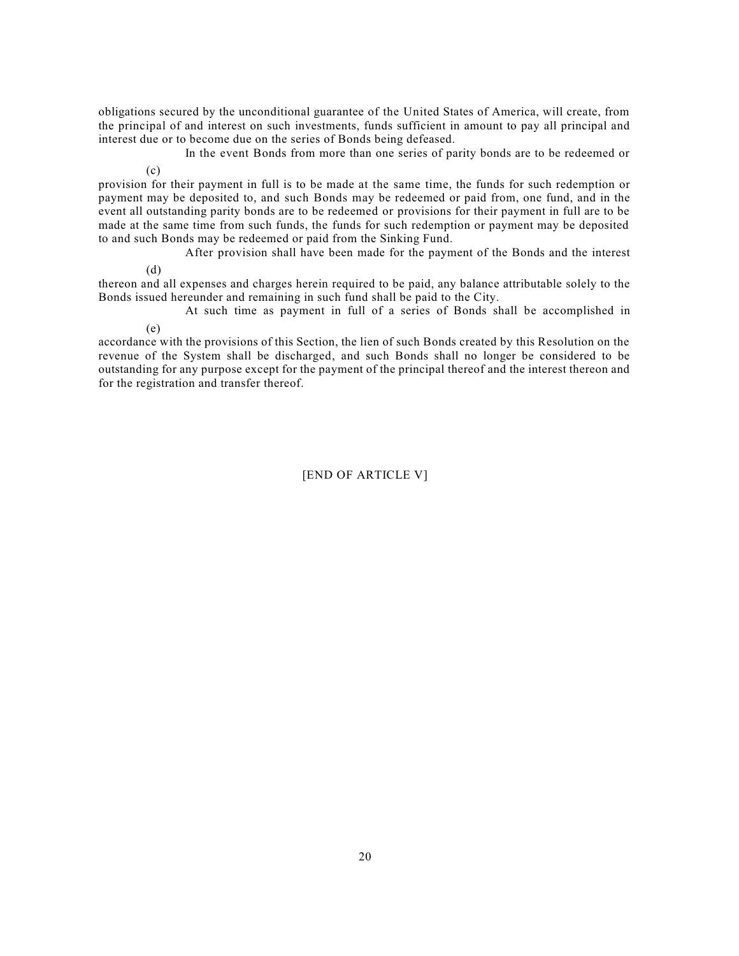obligations secured by the unconditional guarantee of the United States of America, will create, from the principal of and interest on such investments, funds sufficient in amount to pay all principal and interest due or to become due on the series of Bonds being defeased.

In the event Bonds from more than one series of parity bonds are to be redeemed or

provision for their payment in full is to be made at the same time, the funds for such redemption or payment may be deposited to, and such Bonds may be redeemed or paid from, one fund, and in the event all outstanding parity bonds are to be redeemed or provisions for their payment in full are to be made at the same time from such funds, the funds for such redemption or payment may be deposited to and such Bonds may be redeemed or paid from the Sinking Fund.

After provision shall have been made for the payment of the Bonds and the interest

(d)

(e)

 $(c)$ 

thereon and all expenses and charges herein required to be paid, any balance attributable solely to the Bonds issued hereunder and remaining in such fund shall be paid to the City.

At such time as payment in full of a series of Bonds shall be accomplished in

accordance with the provisions of this Section, the lien of such Bonds created by this Resolution on the revenue of the System shall be discharged, and such Bonds shall no longer be considered to be outstanding for any purpose except for the payment of the principal thereof and the interest thereon and for the registration and transfer thereof.

[END OF ARTICLE V]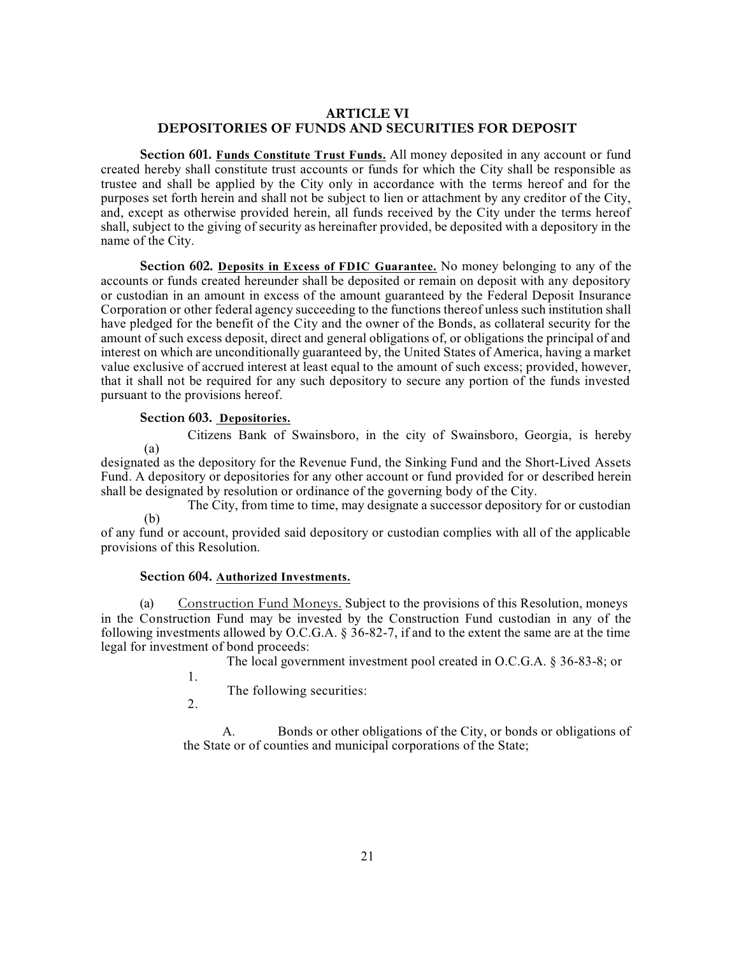### **ARTICLE VI DEPOSITORIES OF FUNDS AND SECURITIES FOR DEPOSIT**

**Section 601. Funds Constitute Trust Funds.** All money deposited in any account or fund created hereby shall constitute trust accounts or funds for which the City shall be responsible as trustee and shall be applied by the City only in accordance with the terms hereof and for the purposes set forth herein and shall not be subject to lien or attachment by any creditor of the City, and, except as otherwise provided herein, all funds received by the City under the terms hereof shall, subject to the giving of security as hereinafter provided, be deposited with a depository in the name of the City.

**Section 602. Deposits in Excess of FDIC Guarantee.** No money belonging to any of the accounts or funds created hereunder shall be deposited or remain on deposit with any depository or custodian in an amount in excess of the amount guaranteed by the Federal Deposit Insurance Corporation or other federal agency succeeding to the functions thereof unless such institution shall have pledged for the benefit of the City and the owner of the Bonds, as collateral security for the amount of such excess deposit, direct and general obligations of, or obligations the principal of and interest on which are unconditionally guaranteed by, the United States of America, having a market value exclusive of accrued interest at least equal to the amount of such excess; provided, however, that it shall not be required for any such depository to secure any portion of the funds invested pursuant to the provisions hereof.

## **Section 603. Depositories.**

(a) Citizens Bank of Swainsboro, in the city of Swainsboro, Georgia, is hereby

designated as the depository for the Revenue Fund, the Sinking Fund and the Short-Lived Assets Fund. A depository or depositories for any other account or fund provided for or described herein shall be designated by resolution or ordinance of the governing body of the City.

(b) The City, from time to time, may designate a successor depository for or custodian

of any fund or account, provided said depository or custodian complies with all of the applicable provisions of this Resolution.

### **Section 604. Authorized Investments.**

(a) Construction Fund Moneys. Subject to the provisions of this Resolution, moneys in the Construction Fund may be invested by the Construction Fund custodian in any of the following investments allowed by O.C.G.A. § 36-82-7, if and to the extent the same are at the time legal for investment of bond proceeds:

The local government investment pool created in O.C.G.A. § 36-83-8; or

The following securities:

1. 2.

A. Bonds or other obligations of the City, or bonds or obligations of the State or of counties and municipal corporations of the State;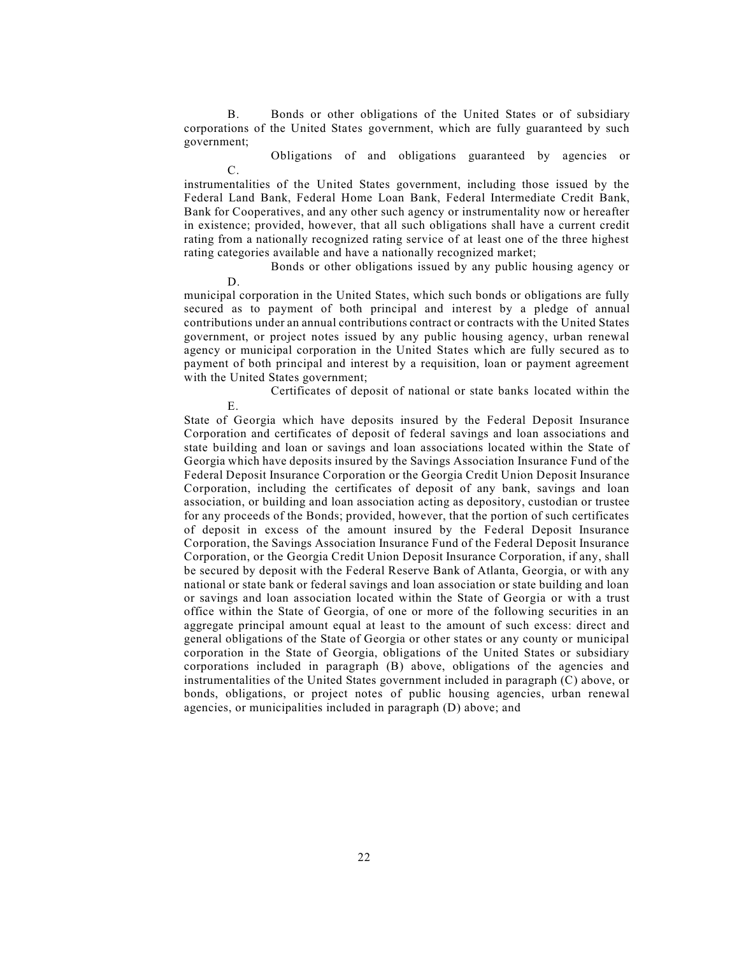B. Bonds or other obligations of the United States or of subsidiary corporations of the United States government, which are fully guaranteed by such government;

C. Obligations of and obligations guaranteed by agencies or

instrumentalities of the United States government, including those issued by the Federal Land Bank, Federal Home Loan Bank, Federal Intermediate Credit Bank, Bank for Cooperatives, and any other such agency or instrumentality now or hereafter in existence; provided, however, that all such obligations shall have a current credit rating from a nationally recognized rating service of at least one of the three highest rating categories available and have a nationally recognized market;

Bonds or other obligations issued by any public housing agency or

municipal corporation in the United States, which such bonds or obligations are fully secured as to payment of both principal and interest by a pledge of annual contributions under an annual contributions contract or contracts with the United States government, or project notes issued by any public housing agency, urban renewal agency or municipal corporation in the United States which are fully secured as to payment of both principal and interest by a requisition, loan or payment agreement with the United States government;

D.

E. Certificates of deposit of national or state banks located within the

State of Georgia which have deposits insured by the Federal Deposit Insurance Corporation and certificates of deposit of federal savings and loan associations and state building and loan or savings and loan associations located within the State of Georgia which have deposits insured by the Savings Association Insurance Fund of the Federal Deposit Insurance Corporation or the Georgia Credit Union Deposit Insurance Corporation, including the certificates of deposit of any bank, savings and loan association, or building and loan association acting as depository, custodian or trustee for any proceeds of the Bonds; provided, however, that the portion of such certificates of deposit in excess of the amount insured by the Federal Deposit Insurance Corporation, the Savings Association Insurance Fund of the Federal Deposit Insurance Corporation, or the Georgia Credit Union Deposit Insurance Corporation, if any, shall be secured by deposit with the Federal Reserve Bank of Atlanta, Georgia, or with any national or state bank or federal savings and loan association or state building and loan or savings and loan association located within the State of Georgia or with a trust office within the State of Georgia, of one or more of the following securities in an aggregate principal amount equal at least to the amount of such excess: direct and general obligations of the State of Georgia or other states or any county or municipal corporation in the State of Georgia, obligations of the United States or subsidiary corporations included in paragraph (B) above, obligations of the agencies and instrumentalities of the United States government included in paragraph (C) above, or bonds, obligations, or project notes of public housing agencies, urban renewal agencies, or municipalities included in paragraph (D) above; and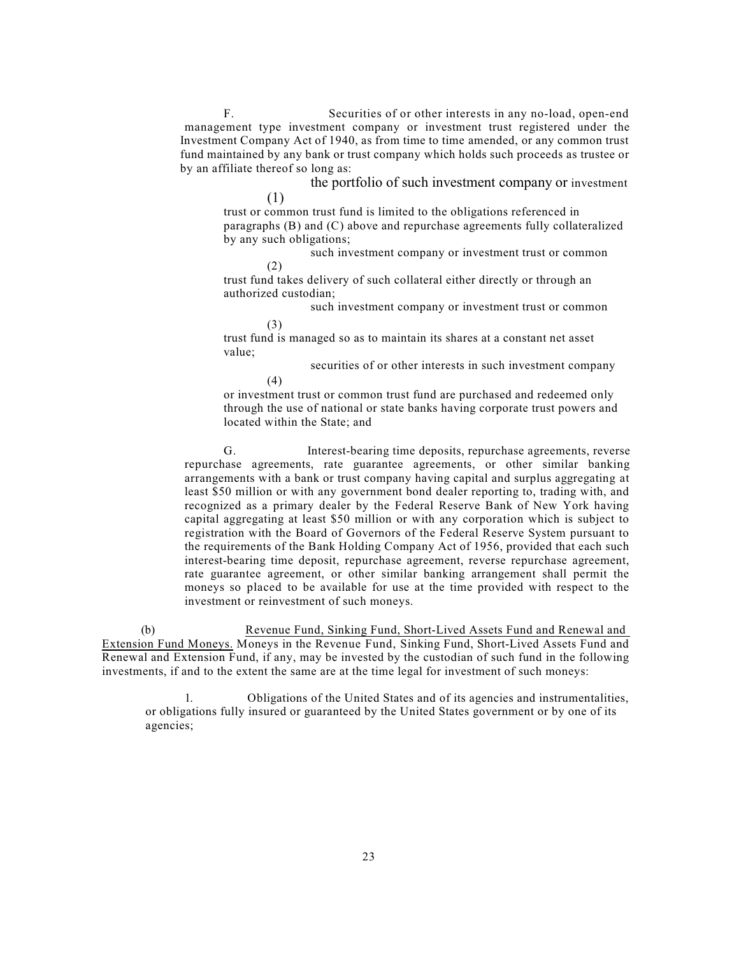F. Securities of or other interests in any no-load, open-end management type investment company or investment trust registered under the Investment Company Act of 1940, as from time to time amended, or any common trust fund maintained by any bank or trust company which holds such proceeds as trustee or by an affiliate thereof so long as:

the portfolio of such investment company or investment

trust or common trust fund is limited to the obligations referenced in paragraphs (B) and (C) above and repurchase agreements fully collateralized by any such obligations;

such investment company or investment trust or common

(2) trust fund takes delivery of such collateral either directly or through an authorized custodian;

such investment company or investment trust or common

(3)

(1)

trust fund is managed so as to maintain its shares at a constant net asset value;

> (4) securities of or other interests in such investment company

or investment trust or common trust fund are purchased and redeemed only through the use of national or state banks having corporate trust powers and located within the State; and

G. Interest-bearing time deposits, repurchase agreements, reverse repurchase agreements, rate guarantee agreements, or other similar banking arrangements with a bank or trust company having capital and surplus aggregating at least \$50 million or with any government bond dealer reporting to, trading with, and recognized as a primary dealer by the Federal Reserve Bank of New York having capital aggregating at least \$50 million or with any corporation which is subject to registration with the Board of Governors of the Federal Reserve System pursuant to the requirements of the Bank Holding Company Act of 1956, provided that each such interest-bearing time deposit, repurchase agreement, reverse repurchase agreement, rate guarantee agreement, or other similar banking arrangement shall permit the moneys so placed to be available for use at the time provided with respect to the investment or reinvestment of such moneys.

(b) Revenue Fund, Sinking Fund, Short-Lived Assets Fund and Renewal and Extension Fund Moneys. Moneys in the Revenue Fund, Sinking Fund, Short-Lived Assets Fund and Renewal and Extension Fund, if any, may be invested by the custodian of such fund in the following investments, if and to the extent the same are at the time legal for investment of such moneys:

1. Obligations of the United States and of its agencies and instrumentalities, or obligations fully insured or guaranteed by the United States government or by one of its agencies;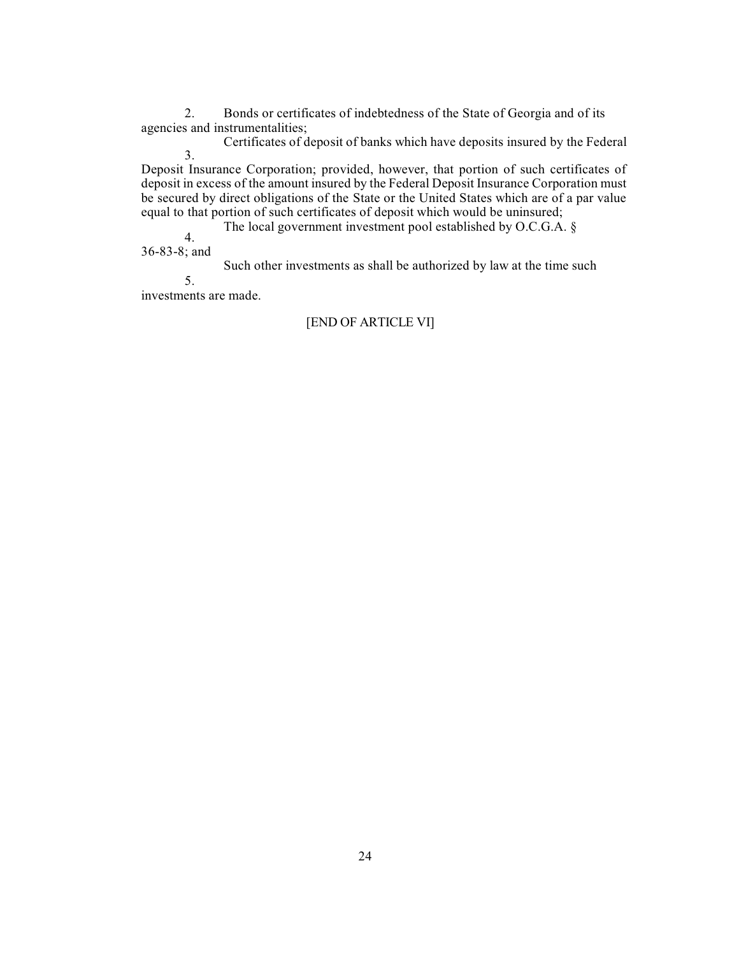2. Bonds or certificates of indebtedness of the State of Georgia and of its agencies and instrumentalities;

3. Certificates of deposit of banks which have deposits insured by the Federal

Deposit Insurance Corporation; provided, however, that portion of such certificates of deposit in excess of the amount insured by the Federal Deposit Insurance Corporation must be secured by direct obligations of the State or the United States which are of a par value equal to that portion of such certificates of deposit which would be uninsured;

The local government investment pool established by O.C.G.A. §

4. 36-83-8; and

Such other investments as shall be authorized by law at the time such

5.

investments are made.

### [END OF ARTICLE VI]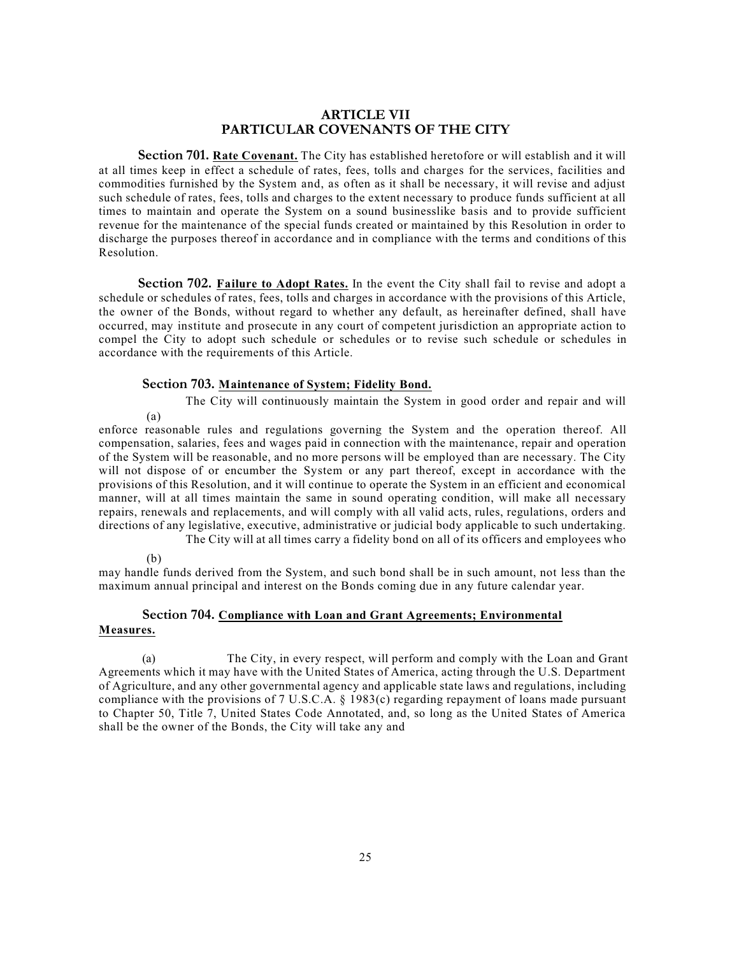### **ARTICLE VII PARTICULAR COVENANTS OF THE CITY**

**Section 701. Rate Covenant.** The City has established heretofore or will establish and it will at all times keep in effect a schedule of rates, fees, tolls and charges for the services, facilities and commodities furnished by the System and, as often as it shall be necessary, it will revise and adjust such schedule of rates, fees, tolls and charges to the extent necessary to produce funds sufficient at all times to maintain and operate the System on a sound businesslike basis and to provide sufficient revenue for the maintenance of the special funds created or maintained by this Resolution in order to discharge the purposes thereof in accordance and in compliance with the terms and conditions of this Resolution.

**Section 702. Failure to Adopt Rates.** In the event the City shall fail to revise and adopt a schedule or schedules of rates, fees, tolls and charges in accordance with the provisions of this Article, the owner of the Bonds, without regard to whether any default, as hereinafter defined, shall have occurred, may institute and prosecute in any court of competent jurisdiction an appropriate action to compel the City to adopt such schedule or schedules or to revise such schedule or schedules in accordance with the requirements of this Article.

### **Section 703. Maintenance of System; Fidelity Bond.**

The City will continuously maintain the System in good order and repair and will

enforce reasonable rules and regulations governing the System and the operation thereof. All compensation, salaries, fees and wages paid in connection with the maintenance, repair and operation of the System will be reasonable, and no more persons will be employed than are necessary. The City will not dispose of or encumber the System or any part thereof, except in accordance with the provisions of this Resolution, and it will continue to operate the System in an efficient and economical manner, will at all times maintain the same in sound operating condition, will make all necessary repairs, renewals and replacements, and will comply with all valid acts, rules, regulations, orders and directions of any legislative, executive, administrative or judicial body applicable to such undertaking. The City will at all times carry a fidelity bond on all of its officers and employees who

#### (b)

(a)

may handle funds derived from the System, and such bond shall be in such amount, not less than the maximum annual principal and interest on the Bonds coming due in any future calendar year.

# **Section 704. Compliance with Loan and Grant Agreements; Environmental**

### **Measures.**

(a) The City, in every respect, will perform and comply with the Loan and Grant Agreements which it may have with the United States of America, acting through the U.S. Department of Agriculture, and any other governmental agency and applicable state laws and regulations, including compliance with the provisions of 7 U.S.C.A. § 1983(c) regarding repayment of loans made pursuant to Chapter 50, Title 7, United States Code Annotated, and, so long as the United States of America shall be the owner of the Bonds, the City will take any and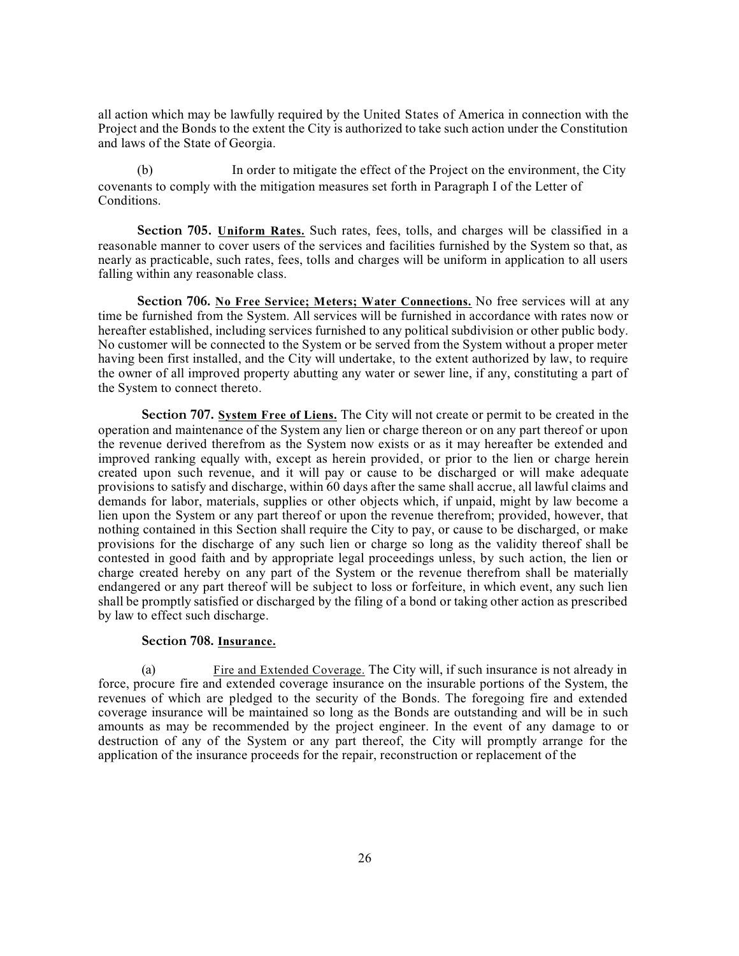all action which may be lawfully required by the United States of America in connection with the Project and the Bonds to the extent the City is authorized to take such action under the Constitution and laws of the State of Georgia.

(b) In order to mitigate the effect of the Project on the environment, the City covenants to comply with the mitigation measures set forth in Paragraph I of the Letter of Conditions.

**Section 705. Uniform Rates.** Such rates, fees, tolls, and charges will be classified in a reasonable manner to cover users of the services and facilities furnished by the System so that, as nearly as practicable, such rates, fees, tolls and charges will be uniform in application to all users falling within any reasonable class.

**Section 706. No Free Service; Meters; Water Connections.** No free services will at any time be furnished from the System. All services will be furnished in accordance with rates now or hereafter established, including services furnished to any political subdivision or other public body. No customer will be connected to the System or be served from the System without a proper meter having been first installed, and the City will undertake, to the extent authorized by law, to require the owner of all improved property abutting any water or sewer line, if any, constituting a part of the System to connect thereto.

**Section 707. System Free of Liens.** The City will not create or permit to be created in the operation and maintenance of the System any lien or charge thereon or on any part thereof or upon the revenue derived therefrom as the System now exists or as it may hereafter be extended and improved ranking equally with, except as herein provided, or prior to the lien or charge herein created upon such revenue, and it will pay or cause to be discharged or will make adequate provisions to satisfy and discharge, within 60 days after the same shall accrue, all lawful claims and demands for labor, materials, supplies or other objects which, if unpaid, might by law become a lien upon the System or any part thereof or upon the revenue therefrom; provided, however, that nothing contained in this Section shall require the City to pay, or cause to be discharged, or make provisions for the discharge of any such lien or charge so long as the validity thereof shall be contested in good faith and by appropriate legal proceedings unless, by such action, the lien or charge created hereby on any part of the System or the revenue therefrom shall be materially endangered or any part thereof will be subject to loss or forfeiture, in which event, any such lien shall be promptly satisfied or discharged by the filing of a bond or taking other action as prescribed by law to effect such discharge.

### **Section 708. Insurance.**

(a) Fire and Extended Coverage. The City will, if such insurance is not already in force, procure fire and extended coverage insurance on the insurable portions of the System, the revenues of which are pledged to the security of the Bonds. The foregoing fire and extended coverage insurance will be maintained so long as the Bonds are outstanding and will be in such amounts as may be recommended by the project engineer. In the event of any damage to or destruction of any of the System or any part thereof, the City will promptly arrange for the application of the insurance proceeds for the repair, reconstruction or replacement of the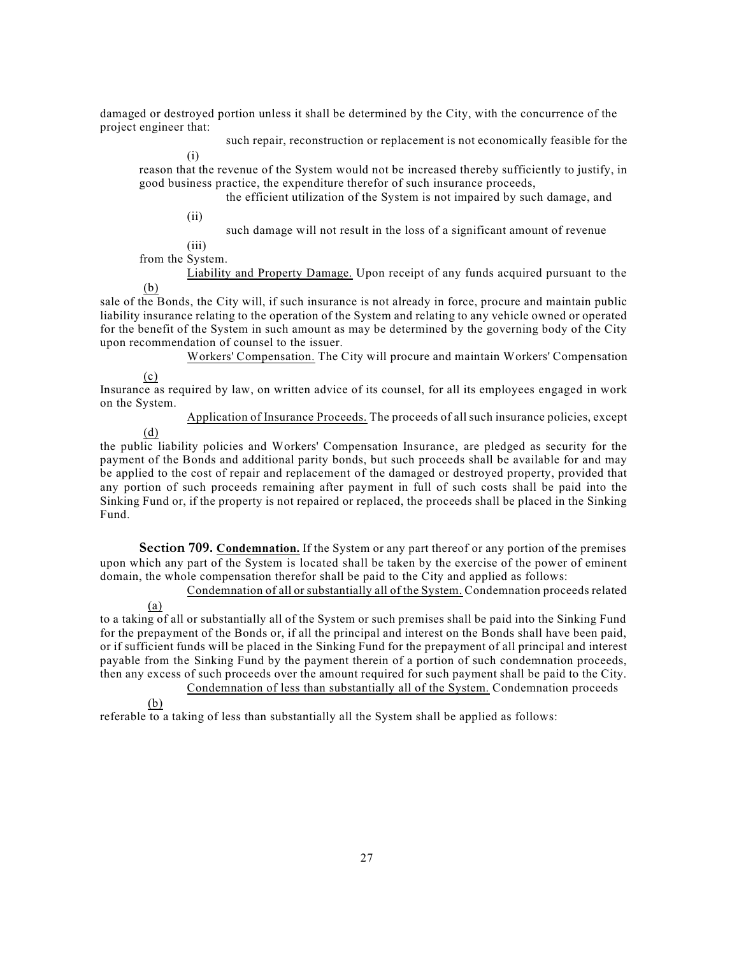damaged or destroyed portion unless it shall be determined by the City, with the concurrence of the project engineer that:

such repair, reconstruction or replacement is not economically feasible for the

reason that the revenue of the System would not be increased thereby sufficiently to justify, in good business practice, the expenditure therefor of such insurance proceeds,

the efficient utilization of the System is not impaired by such damage, and

 $(ii)$ 

(i)

 $(iii)$ such damage will not result in the loss of a significant amount of revenue

from the System.

(b) Liability and Property Damage. Upon receipt of any funds acquired pursuant to the

sale of the Bonds, the City will, if such insurance is not already in force, procure and maintain public liability insurance relating to the operation of the System and relating to any vehicle owned or operated for the benefit of the System in such amount as may be determined by the governing body of the City upon recommendation of counsel to the issuer.

Workers' Compensation. The City will procure and maintain Workers' Compensation

(c)

Insurance as required by law, on written advice of its counsel, for all its employees engaged in work on the System.

(d) Application of Insurance Proceeds. The proceeds of all such insurance policies, except

the public liability policies and Workers' Compensation Insurance, are pledged as security for the payment of the Bonds and additional parity bonds, but such proceeds shall be available for and may be applied to the cost of repair and replacement of the damaged or destroyed property, provided that any portion of such proceeds remaining after payment in full of such costs shall be paid into the Sinking Fund or, if the property is not repaired or replaced, the proceeds shall be placed in the Sinking Fund.

**Section 709. Condemnation.** If the System or any part thereof or any portion of the premises upon which any part of the System is located shall be taken by the exercise of the power of eminent domain, the whole compensation therefor shall be paid to the City and applied as follows:

Condemnation of all or substantially all of the System. Condemnation proceeds related

(a) to a taking of all or substantially all of the System or such premises shall be paid into the Sinking Fund for the prepayment of the Bonds or, if all the principal and interest on the Bonds shall have been paid, or if sufficient funds will be placed in the Sinking Fund for the prepayment of all principal and interest payable from the Sinking Fund by the payment therein of a portion of such condemnation proceeds, then any excess of such proceeds over the amount required for such payment shall be paid to the City. Condemnation of less than substantially all of the System. Condemnation proceeds

(b)

referable to a taking of less than substantially all the System shall be applied as follows: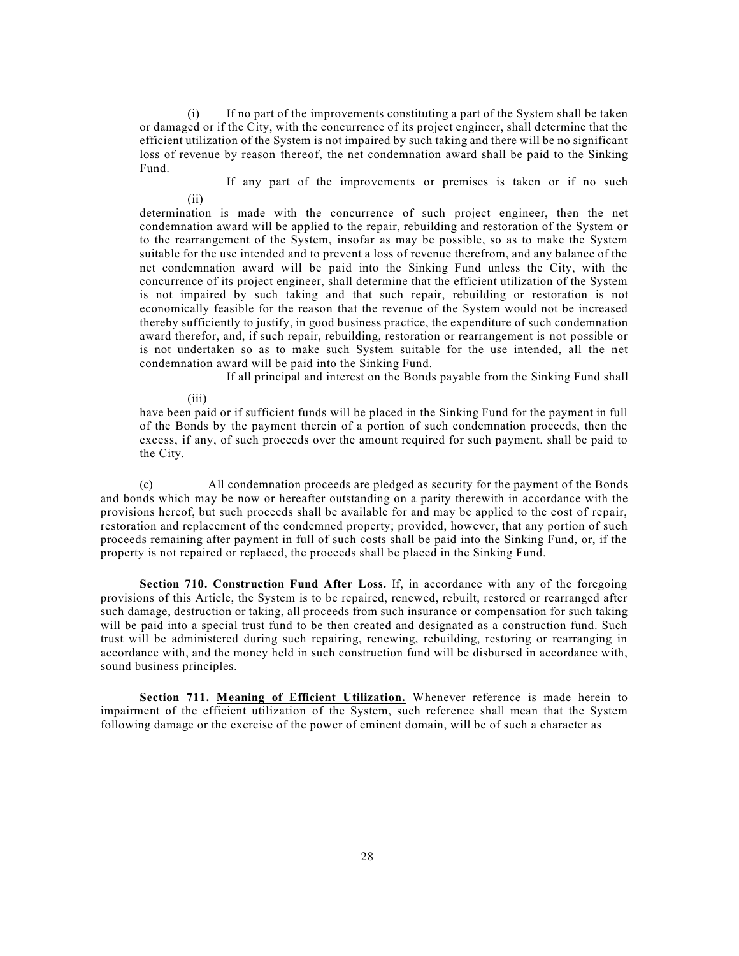(i) If no part of the improvements constituting a part of the System shall be taken or damaged or if the City, with the concurrence of its project engineer, shall determine that the efficient utilization of the System is not impaired by such taking and there will be no significant loss of revenue by reason thereof, the net condemnation award shall be paid to the Sinking Fund.

(ii) If any part of the improvements or premises is taken or if no such

determination is made with the concurrence of such project engineer, then the net condemnation award will be applied to the repair, rebuilding and restoration of the System or to the rearrangement of the System, insofar as may be possible, so as to make the System suitable for the use intended and to prevent a loss of revenue therefrom, and any balance of the net condemnation award will be paid into the Sinking Fund unless the City, with the concurrence of its project engineer, shall determine that the efficient utilization of the System is not impaired by such taking and that such repair, rebuilding or restoration is not economically feasible for the reason that the revenue of the System would not be increased thereby sufficiently to justify, in good business practice, the expenditure of such condemnation award therefor, and, if such repair, rebuilding, restoration or rearrangement is not possible or is not undertaken so as to make such System suitable for the use intended, all the net condemnation award will be paid into the Sinking Fund.

If all principal and interest on the Bonds payable from the Sinking Fund shall

(iii)

have been paid or if sufficient funds will be placed in the Sinking Fund for the payment in full of the Bonds by the payment therein of a portion of such condemnation proceeds, then the excess, if any, of such proceeds over the amount required for such payment, shall be paid to the City.

(c) All condemnation proceeds are pledged as security for the payment of the Bonds and bonds which may be now or hereafter outstanding on a parity therewith in accordance with the provisions hereof, but such proceeds shall be available for and may be applied to the cost of repair, restoration and replacement of the condemned property; provided, however, that any portion of such proceeds remaining after payment in full of such costs shall be paid into the Sinking Fund, or, if the property is not repaired or replaced, the proceeds shall be placed in the Sinking Fund.

**Section 710. Construction Fund After Loss.** If, in accordance with any of the foregoing provisions of this Article, the System is to be repaired, renewed, rebuilt, restored or rearranged after such damage, destruction or taking, all proceeds from such insurance or compensation for such taking will be paid into a special trust fund to be then created and designated as a construction fund. Such trust will be administered during such repairing, renewing, rebuilding, restoring or rearranging in accordance with, and the money held in such construction fund will be disbursed in accordance with, sound business principles.

**Section 711. Meaning of Efficient Utilization.** Whenever reference is made herein to impairment of the efficient utilization of the System, such reference shall mean that the System following damage or the exercise of the power of eminent domain, will be of such a character as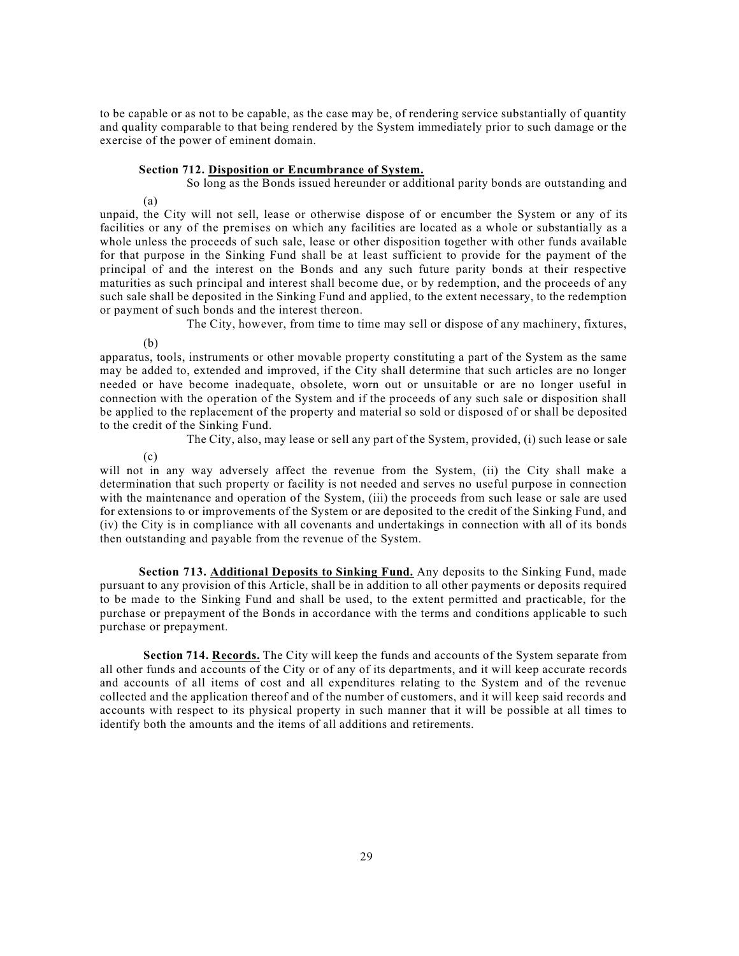to be capable or as not to be capable, as the case may be, of rendering service substantially of quantity and quality comparable to that being rendered by the System immediately prior to such damage or the exercise of the power of eminent domain.

#### **Section 712. Disposition or Encumbrance of System.**

So long as the Bonds issued hereunder or additional parity bonds are outstanding and

(a)

unpaid, the City will not sell, lease or otherwise dispose of or encumber the System or any of its facilities or any of the premises on which any facilities are located as a whole or substantially as a whole unless the proceeds of such sale, lease or other disposition together with other funds available for that purpose in the Sinking Fund shall be at least sufficient to provide for the payment of the principal of and the interest on the Bonds and any such future parity bonds at their respective maturities as such principal and interest shall become due, or by redemption, and the proceeds of any such sale shall be deposited in the Sinking Fund and applied, to the extent necessary, to the redemption or payment of such bonds and the interest thereon.

The City, however, from time to time may sell or dispose of any machinery, fixtures,

(b)

apparatus, tools, instruments or other movable property constituting a part of the System as the same may be added to, extended and improved, if the City shall determine that such articles are no longer needed or have become inadequate, obsolete, worn out or unsuitable or are no longer useful in connection with the operation of the System and if the proceeds of any such sale or disposition shall be applied to the replacement of the property and material so sold or disposed of or shall be deposited to the credit of the Sinking Fund.

The City, also, may lease or sell any part of the System, provided, (i) such lease or sale

(c)

will not in any way adversely affect the revenue from the System, (ii) the City shall make a determination that such property or facility is not needed and serves no useful purpose in connection with the maintenance and operation of the System, (iii) the proceeds from such lease or sale are used for extensions to or improvements of the System or are deposited to the credit of the Sinking Fund, and (iv) the City is in compliance with all covenants and undertakings in connection with all of its bonds then outstanding and payable from the revenue of the System.

**Section 713. Additional Deposits to Sinking Fund.** Any deposits to the Sinking Fund, made pursuant to any provision of this Article, shall be in addition to all other payments or deposits required to be made to the Sinking Fund and shall be used, to the extent permitted and practicable, for the purchase or prepayment of the Bonds in accordance with the terms and conditions applicable to such purchase or prepayment.

**Section 714. Records.** The City will keep the funds and accounts of the System separate from all other funds and accounts of the City or of any of its departments, and it will keep accurate records and accounts of all items of cost and all expenditures relating to the System and of the revenue collected and the application thereof and of the number of customers, and it will keep said records and accounts with respect to its physical property in such manner that it will be possible at all times to identify both the amounts and the items of all additions and retirements.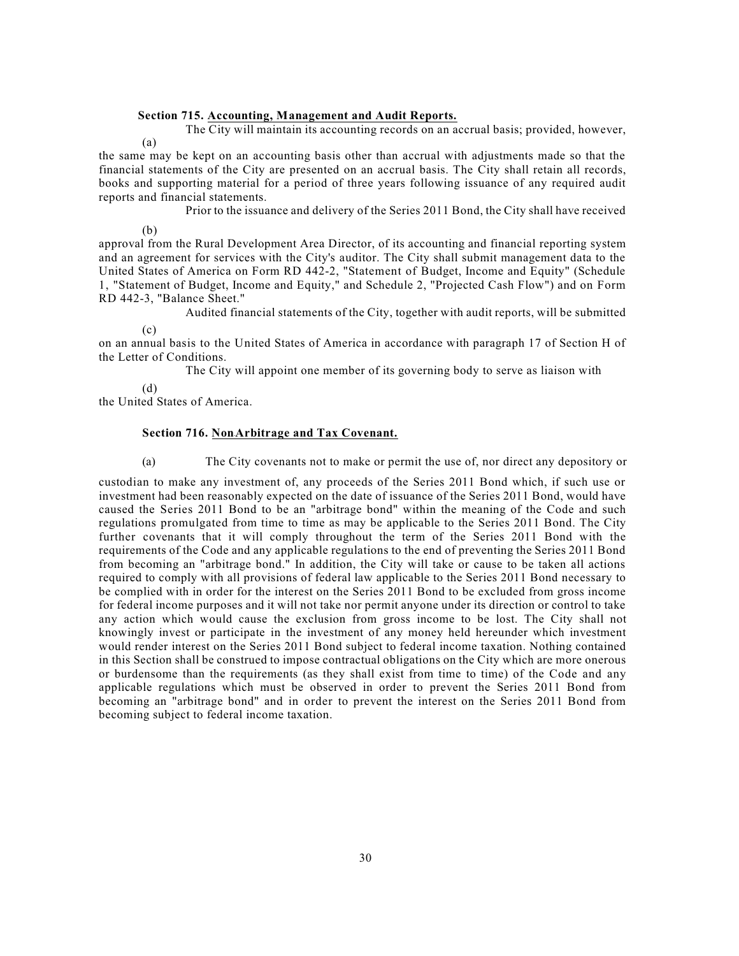#### **Section 715. Accounting, Management and Audit Reports.**

(a) The City will maintain its accounting records on an accrual basis; provided, however,

the same may be kept on an accounting basis other than accrual with adjustments made so that the financial statements of the City are presented on an accrual basis. The City shall retain all records, books and supporting material for a period of three years following issuance of any required audit reports and financial statements.

Prior to the issuance and delivery of the Series 2011 Bond, the City shall have received

(b)

approval from the Rural Development Area Director, of its accounting and financial reporting system and an agreement for services with the City's auditor. The City shall submit management data to the United States of America on Form RD 442-2, "Statement of Budget, Income and Equity" (Schedule 1, "Statement of Budget, Income and Equity," and Schedule 2, "Projected Cash Flow") and on Form RD 442-3, "Balance Sheet."

Audited financial statements of the City, together with audit reports, will be submitted

 $(c)$ 

on an annual basis to the United States of America in accordance with paragraph 17 of Section H of the Letter of Conditions.

The City will appoint one member of its governing body to serve as liaison with

(d)

the United States of America.

#### **Section 716. Non**-**Arbitrage and Tax Covenant.**

(a) The City covenants not to make or permit the use of, nor direct any depository or

custodian to make any investment of, any proceeds of the Series 2011 Bond which, if such use or investment had been reasonably expected on the date of issuance of the Series 2011 Bond, would have caused the Series 2011 Bond to be an "arbitrage bond" within the meaning of the Code and such regulations promulgated from time to time as may be applicable to the Series 2011 Bond. The City further covenants that it will comply throughout the term of the Series 2011 Bond with the requirements of the Code and any applicable regulations to the end of preventing the Series 2011 Bond from becoming an "arbitrage bond." In addition, the City will take or cause to be taken all actions required to comply with all provisions of federal law applicable to the Series 2011 Bond necessary to be complied with in order for the interest on the Series 2011 Bond to be excluded from gross income for federal income purposes and it will not take nor permit anyone under its direction or control to take any action which would cause the exclusion from gross income to be lost. The City shall not knowingly invest or participate in the investment of any money held hereunder which investment would render interest on the Series 2011 Bond subject to federal income taxation. Nothing contained in this Section shall be construed to impose contractual obligations on the City which are more onerous or burdensome than the requirements (as they shall exist from time to time) of the Code and any applicable regulations which must be observed in order to prevent the Series 2011 Bond from becoming an "arbitrage bond" and in order to prevent the interest on the Series 2011 Bond from becoming subject to federal income taxation.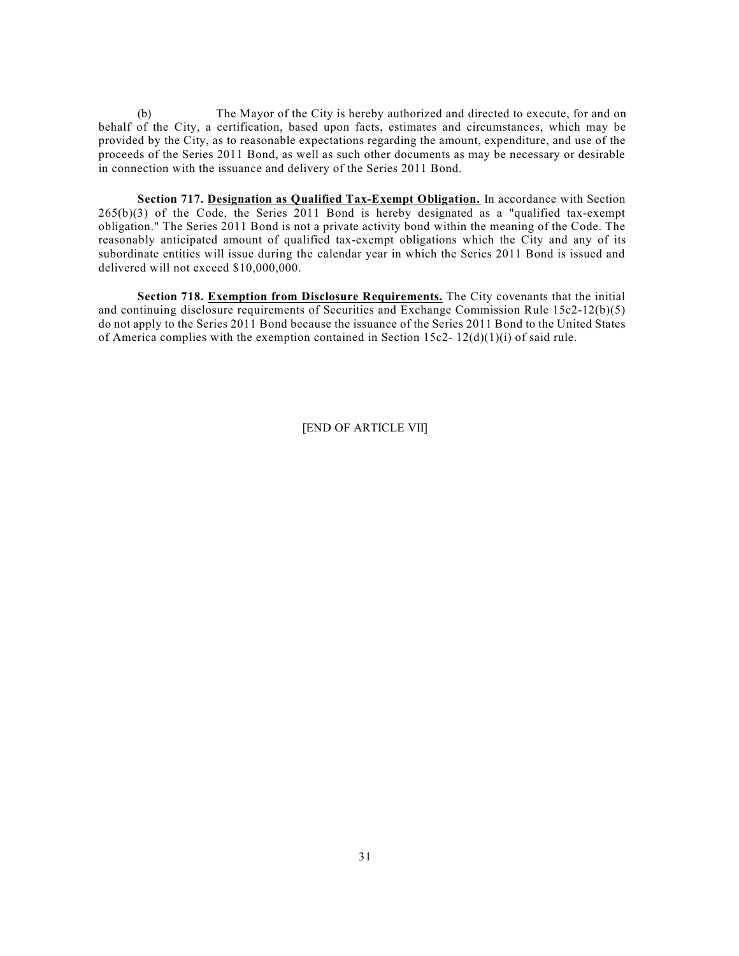(b) The Mayor of the City is hereby authorized and directed to execute, for and on behalf of the City, a certification, based upon facts, estimates and circumstances, which may be provided by the City, as to reasonable expectations regarding the amount, expenditure, and use of the proceeds of the Series 2011 Bond, as well as such other documents as may be necessary or desirable in connection with the issuance and delivery of the Series 2011 Bond.

**Section 717. Designation as Qualified Tax-Exempt Obligation.** In accordance with Section  $265(b)(3)$  of the Code, the Series 2011 Bond is hereby designated as a "qualified tax-exempt" obligation." The Series 2011 Bond is not a private activity bond within the meaning of the Code. The reasonably anticipated amount of qualified tax-exempt obligations which the City and any of its subordinate entities will issue during the calendar year in which the Series 2011 Bond is issued and delivered will not exceed \$10,000,000.

**Section 718. Exemption from Disclosure Requirements.** The City covenants that the initial and continuing disclosure requirements of Securities and Exchange Commission Rule 15c2-12(b)(5) do not apply to the Series 2011 Bond because the issuance of the Series 2011 Bond to the United States of America complies with the exemption contained in Section  $15c2 - 12(d)(1)(i)$  of said rule.

[END OF ARTICLE VII]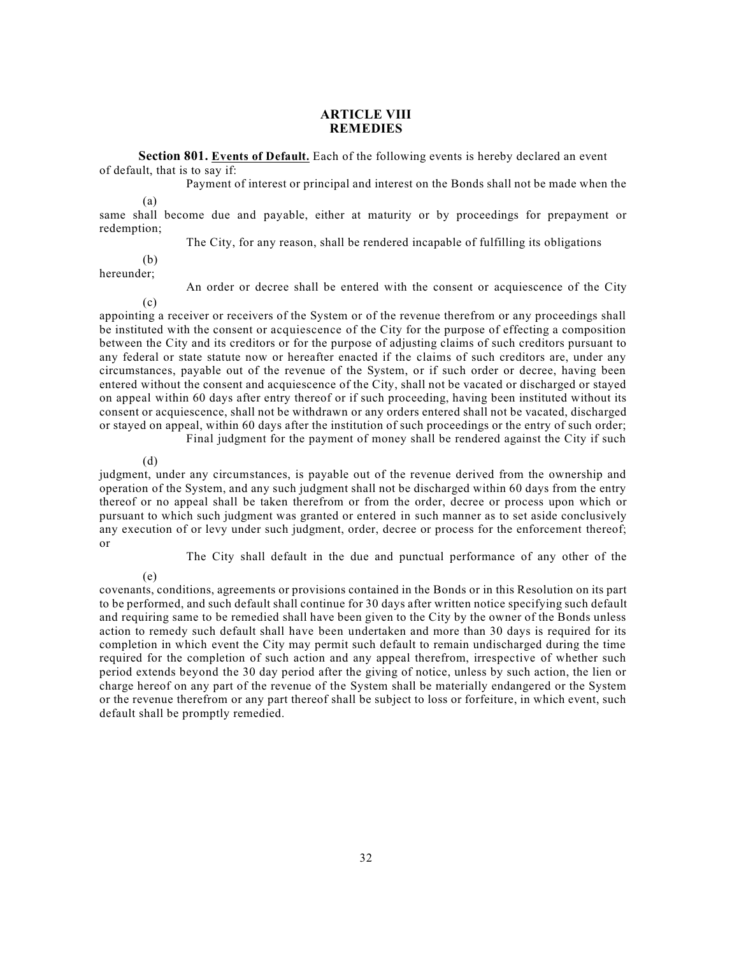### **ARTICLE VIII REMEDIES**

**Section 801. Events of Default.** Each of the following events is hereby declared an event of default, that is to say if:

Payment of interest or principal and interest on the Bonds shall not be made when the

(a)

same shall become due and payable, either at maturity or by proceedings for prepayment or redemption;

The City, for any reason, shall be rendered incapable of fulfilling its obligations

(b) hereunder;

An order or decree shall be entered with the consent or acquiescence of the City

 $(c)$ appointing a receiver or receivers of the System or of the revenue therefrom or any proceedings shall be instituted with the consent or acquiescence of the City for the purpose of effecting a composition between the City and its creditors or for the purpose of adjusting claims of such creditors pursuant to any federal or state statute now or hereafter enacted if the claims of such creditors are, under any circumstances, payable out of the revenue of the System, or if such order or decree, having been entered without the consent and acquiescence of the City, shall not be vacated or discharged or stayed on appeal within 60 days after entry thereof or if such proceeding, having been instituted without its consent or acquiescence, shall not be withdrawn or any orders entered shall not be vacated, discharged or stayed on appeal, within 60 days after the institution of such proceedings or the entry of such order; Final judgment for the payment of money shall be rendered against the City if such

(d) judgment, under any circumstances, is payable out of the revenue derived from the ownership and operation of the System, and any such judgment shall not be discharged within 60 days from the entry thereof or no appeal shall be taken therefrom or from the order, decree or process upon which or pursuant to which such judgment was granted or entered in such manner as to set aside conclusively any execution of or levy under such judgment, order, decree or process for the enforcement thereof; or

The City shall default in the due and punctual performance of any other of the

(e)

covenants, conditions, agreements or provisions contained in the Bonds or in this Resolution on its part to be performed, and such default shall continue for 30 days after written notice specifying such default and requiring same to be remedied shall have been given to the City by the owner of the Bonds unless action to remedy such default shall have been undertaken and more than 30 days is required for its completion in which event the City may permit such default to remain undischarged during the time required for the completion of such action and any appeal therefrom, irrespective of whether such period extends beyond the 30 day period after the giving of notice, unless by such action, the lien or charge hereof on any part of the revenue of the System shall be materially endangered or the System or the revenue therefrom or any part thereof shall be subject to loss or forfeiture, in which event, such default shall be promptly remedied.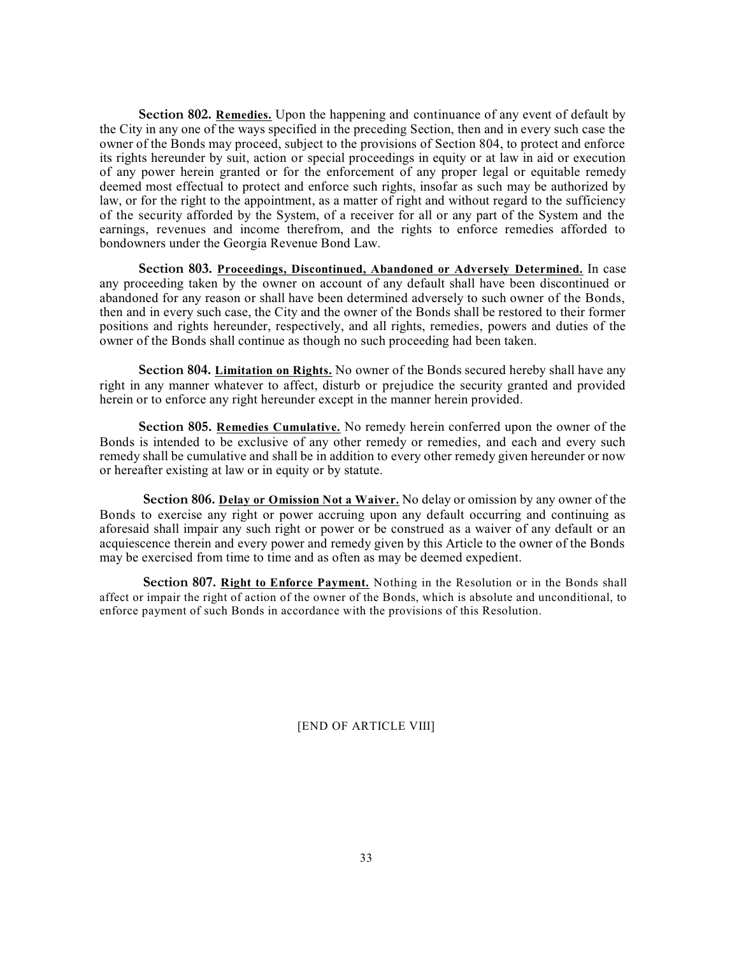**Section 802. Remedies.** Upon the happening and continuance of any event of default by the City in any one of the ways specified in the preceding Section, then and in every such case the owner of the Bonds may proceed, subject to the provisions of Section 804, to protect and enforce its rights hereunder by suit, action or special proceedings in equity or at law in aid or execution of any power herein granted or for the enforcement of any proper legal or equitable remedy deemed most effectual to protect and enforce such rights, insofar as such may be authorized by law, or for the right to the appointment, as a matter of right and without regard to the sufficiency of the security afforded by the System, of a receiver for all or any part of the System and the earnings, revenues and income therefrom, and the rights to enforce remedies afforded to bondowners under the Georgia Revenue Bond Law.

**Section 803. Proceedings, Discontinued, Abandoned or Adversely Determined.** In case any proceeding taken by the owner on account of any default shall have been discontinued or abandoned for any reason or shall have been determined adversely to such owner of the Bonds, then and in every such case, the City and the owner of the Bonds shall be restored to their former positions and rights hereunder, respectively, and all rights, remedies, powers and duties of the owner of the Bonds shall continue as though no such proceeding had been taken.

**Section 804. Limitation on Rights.** No owner of the Bonds secured hereby shall have any right in any manner whatever to affect, disturb or prejudice the security granted and provided herein or to enforce any right hereunder except in the manner herein provided.

**Section 805. Remedies Cumulative.** No remedy herein conferred upon the owner of the Bonds is intended to be exclusive of any other remedy or remedies, and each and every such remedy shall be cumulative and shall be in addition to every other remedy given hereunder or now or hereafter existing at law or in equity or by statute.

**Section 806. Delay or Omission Not a Waiver.** No delay or omission by any owner of the Bonds to exercise any right or power accruing upon any default occurring and continuing as aforesaid shall impair any such right or power or be construed as a waiver of any default or an acquiescence therein and every power and remedy given by this Article to the owner of the Bonds may be exercised from time to time and as often as may be deemed expedient.

**Section 807. Right to Enforce Payment.** Nothing in the Resolution or in the Bonds shall affect or impair the right of action of the owner of the Bonds, which is absolute and unconditional, to enforce payment of such Bonds in accordance with the provisions of this Resolution.

[END OF ARTICLE VIII]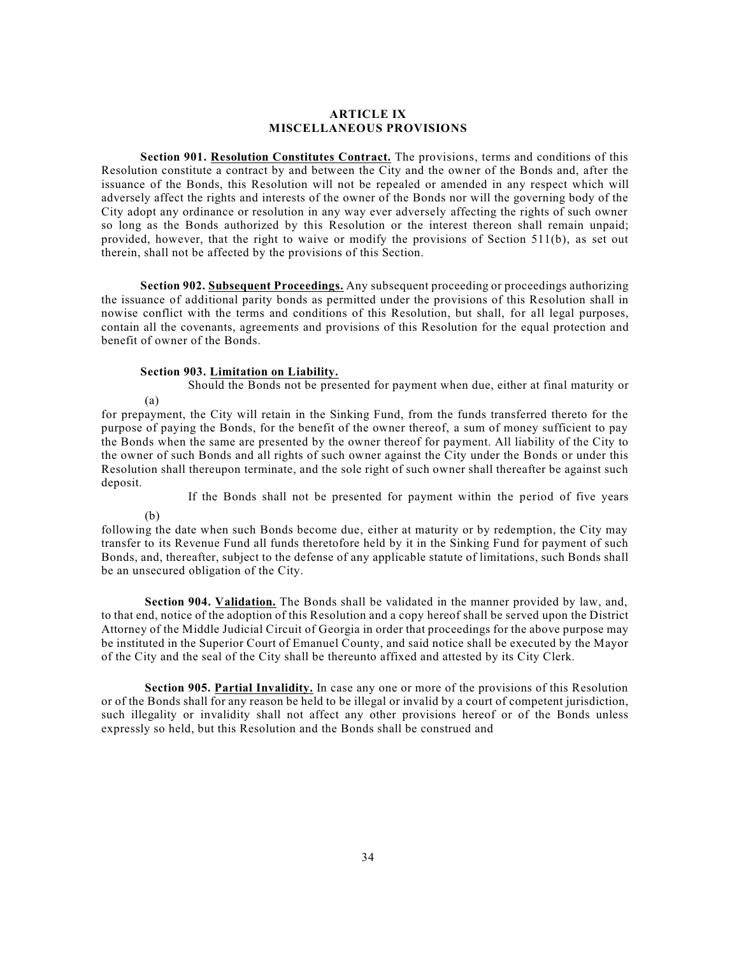#### **ARTICLE IX MISCELLANEOUS PROVISIONS**

**Section 901. Resolution Constitutes Contract.** The provisions, terms and conditions of this Resolution constitute a contract by and between the City and the owner of the Bonds and, after the issuance of the Bonds, this Resolution will not be repealed or amended in any respect which will adversely affect the rights and interests of the owner of the Bonds nor will the governing body of the City adopt any ordinance or resolution in any way ever adversely affecting the rights of such owner so long as the Bonds authorized by this Resolution or the interest thereon shall remain unpaid; provided, however, that the right to waive or modify the provisions of Section 511(b), as set out therein, shall not be affected by the provisions of this Section.

**Section 902. Subsequent Proceedings.** Any subsequent proceeding or proceedings authorizing the issuance of additional parity bonds as permitted under the provisions of this Resolution shall in nowise conflict with the terms and conditions of this Resolution, but shall, for all legal purposes, contain all the covenants, agreements and provisions of this Resolution for the equal protection and benefit of owner of the Bonds.

### **Section 903. Limitation on Liability.**

(a) Should the Bonds not be presented for payment when due, either at final maturity or

for prepayment, the City will retain in the Sinking Fund, from the funds transferred thereto for the purpose of paying the Bonds, for the benefit of the owner thereof, a sum of money sufficient to pay the Bonds when the same are presented by the owner thereof for payment. All liability of the City to the owner of such Bonds and all rights of such owner against the City under the Bonds or under this Resolution shall thereupon terminate, and the sole right of such owner shall thereafter be against such deposit.

If the Bonds shall not be presented for payment within the period of five years

(b)

following the date when such Bonds become due, either at maturity or by redemption, the City may transfer to its Revenue Fund all funds theretofore held by it in the Sinking Fund for payment of such Bonds, and, thereafter, subject to the defense of any applicable statute of limitations, such Bonds shall be an unsecured obligation of the City.

**Section 904. Validation.** The Bonds shall be validated in the manner provided by law, and, to that end, notice of the adoption of this Resolution and a copy hereof shall be served upon the District Attorney of the Middle Judicial Circuit of Georgia in order that proceedings for the above purpose may be instituted in the Superior Court of Emanuel County, and said notice shall be executed by the Mayor of the City and the seal of the City shall be thereunto affixed and attested by its City Clerk.

**Section 905. Partial Invalidity.** In case any one or more of the provisions of this Resolution or of the Bonds shall for any reason be held to be illegal or invalid by a court of competent jurisdiction, such illegality or invalidity shall not affect any other provisions hereof or of the Bonds unless expressly so held, but this Resolution and the Bonds shall be construed and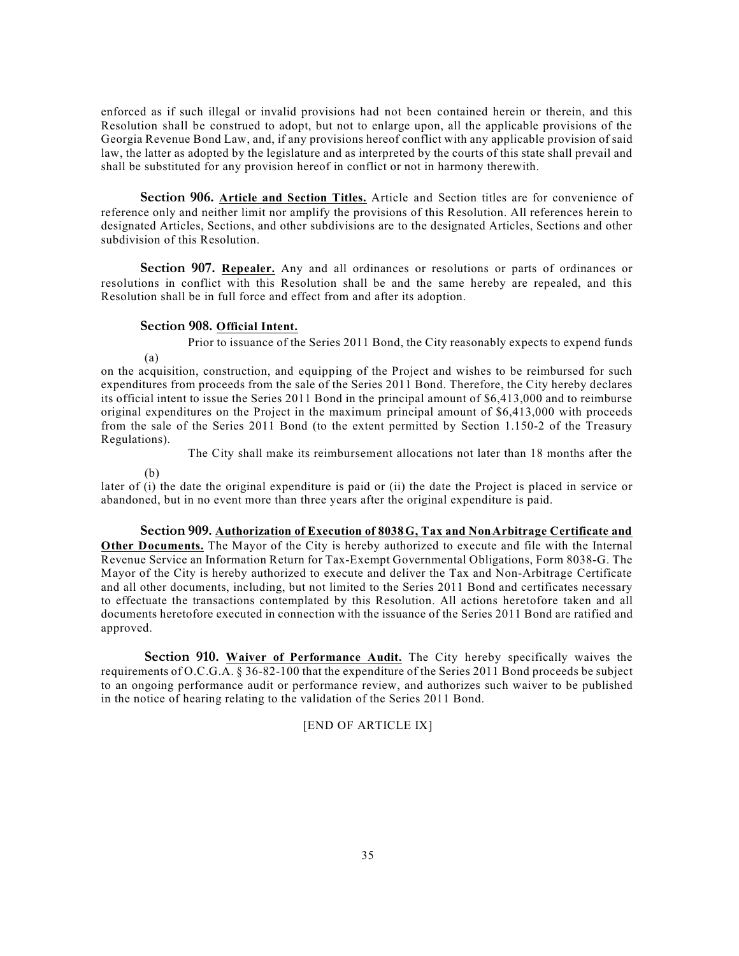enforced as if such illegal or invalid provisions had not been contained herein or therein, and this Resolution shall be construed to adopt, but not to enlarge upon, all the applicable provisions of the Georgia Revenue Bond Law, and, if any provisions hereof conflict with any applicable provision of said law, the latter as adopted by the legislature and as interpreted by the courts of this state shall prevail and shall be substituted for any provision hereof in conflict or not in harmony therewith.

**Section 906. Article and Section Titles.** Article and Section titles are for convenience of reference only and neither limit nor amplify the provisions of this Resolution. All references herein to designated Articles, Sections, and other subdivisions are to the designated Articles, Sections and other subdivision of this Resolution.

**Section 907. Repealer.** Any and all ordinances or resolutions or parts of ordinances or resolutions in conflict with this Resolution shall be and the same hereby are repealed, and this Resolution shall be in full force and effect from and after its adoption.

#### **Section 908. Official Intent.**

Prior to issuance of the Series 2011 Bond, the City reasonably expects to expend funds

on the acquisition, construction, and equipping of the Project and wishes to be reimbursed for such expenditures from proceeds from the sale of the Series 2011 Bond. Therefore, the City hereby declares its official intent to issue the Series 2011 Bond in the principal amount of \$6,413,000 and to reimburse original expenditures on the Project in the maximum principal amount of \$6,413,000 with proceeds from the sale of the Series 2011 Bond (to the extent permitted by Section 1.150-2 of the Treasury Regulations).

The City shall make its reimbursement allocations not later than 18 months after the

(b)

(a)

later of (i) the date the original expenditure is paid or (ii) the date the Project is placed in service or abandoned, but in no event more than three years after the original expenditure is paid.

**Section 909. Authorization of Execution of 8038**-**G, Tax and Non**-**Arbitrage Certificate and Other Documents.** The Mayor of the City is hereby authorized to execute and file with the Internal Revenue Service an Information Return for Tax-Exempt Governmental Obligations, Form 8038-G. The Mayor of the City is hereby authorized to execute and deliver the Tax and Non-Arbitrage Certificate and all other documents, including, but not limited to the Series 2011 Bond and certificates necessary to effectuate the transactions contemplated by this Resolution. All actions heretofore taken and all documents heretofore executed in connection with the issuance of the Series 2011 Bond are ratified and approved.

**Section 910. Waiver of Performance Audit.** The City hereby specifically waives the requirements of O.C.G.A. § 36-82-100 that the expenditure of the Series 2011 Bond proceeds be subject to an ongoing performance audit or performance review, and authorizes such waiver to be published in the notice of hearing relating to the validation of the Series 2011 Bond.

### [END OF ARTICLE IX]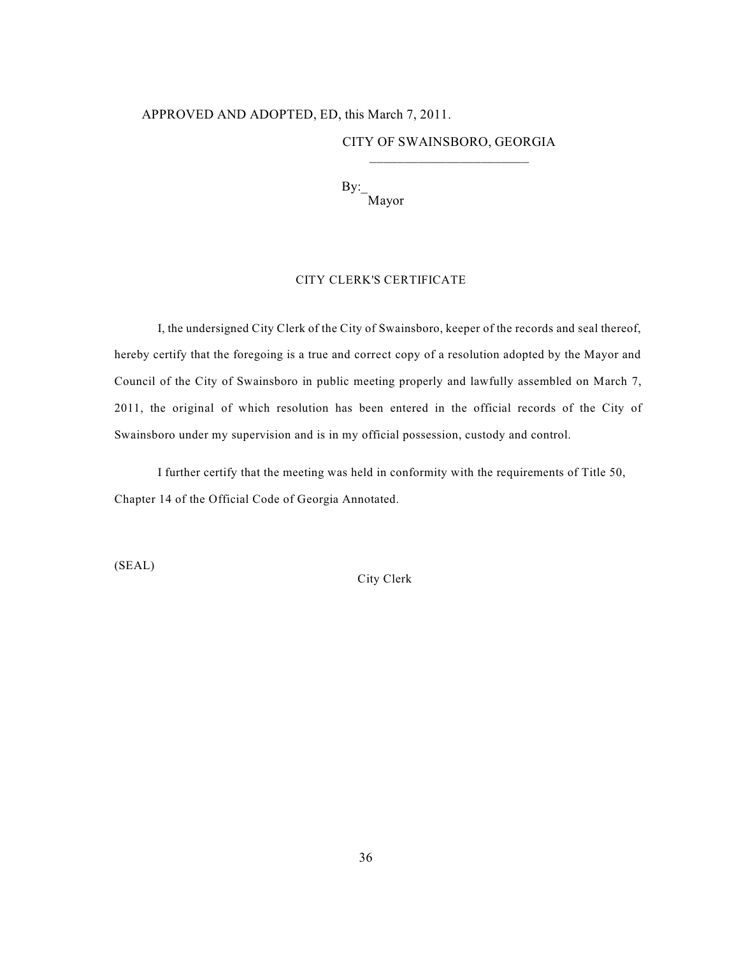# APPROVED AND ADOPTED, ED, this March 7, 2011.

## CITY OF SWAINSBORO, GEORGIA \_\_\_\_\_\_\_\_\_\_\_\_\_\_\_\_\_\_\_\_\_\_\_

 $\rm{By:}$ Mayor

### CITY CLERK'S CERTIFICATE

I, the undersigned City Clerk of the City of Swainsboro, keeper of the records and seal thereof, hereby certify that the foregoing is a true and correct copy of a resolution adopted by the Mayor and Council of the City of Swainsboro in public meeting properly and lawfully assembled on March 7, 2011, the original of which resolution has been entered in the official records of the City of Swainsboro under my supervision and is in my official possession, custody and control.

I further certify that the meeting was held in conformity with the requirements of Title 50, Chapter 14 of the Official Code of Georgia Annotated.

(SEAL)

City Clerk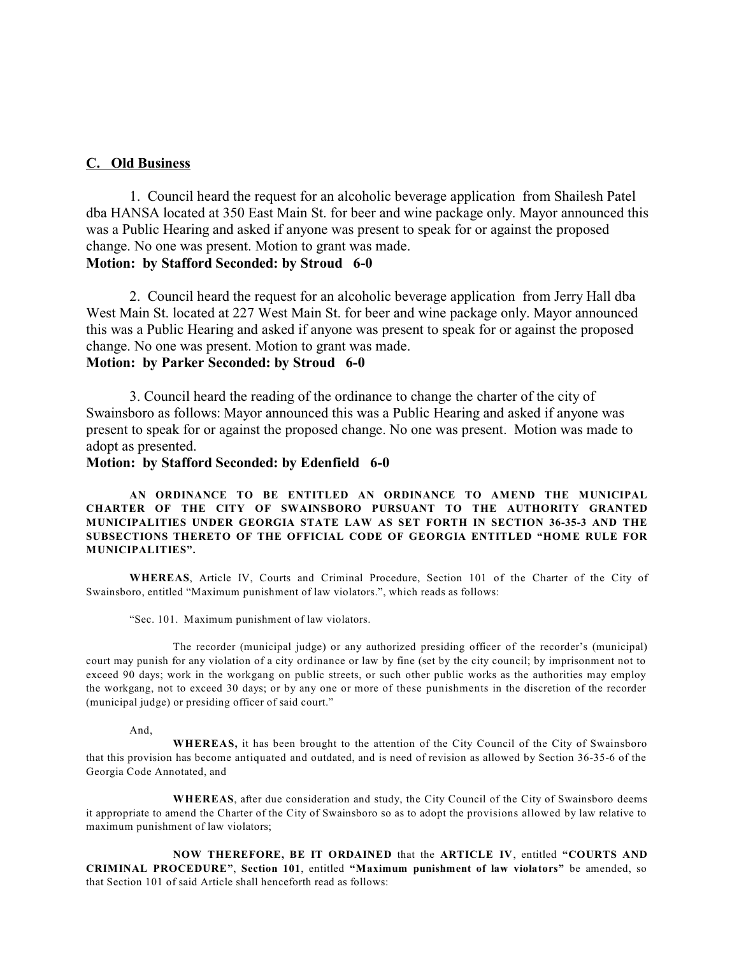### **C. Old Business**

1. Council heard the request for an alcoholic beverage application from Shailesh Patel dba HANSA located at 350 East Main St. for beer and wine package only. Mayor announced this was a Public Hearing and asked if anyone was present to speak for or against the proposed change. No one was present. Motion to grant was made.

# **Motion: by Stafford Seconded: by Stroud 6-0**

2. Council heard the request for an alcoholic beverage application from Jerry Hall dba West Main St. located at 227 West Main St. for beer and wine package only. Mayor announced this was a Public Hearing and asked if anyone was present to speak for or against the proposed change. No one was present. Motion to grant was made.

# **Motion: by Parker Seconded: by Stroud 6-0**

3. Council heard the reading of the ordinance to change the charter of the city of Swainsboro as follows: Mayor announced this was a Public Hearing and asked if anyone was present to speak for or against the proposed change. No one was present. Motion was made to adopt as presented.

### **Motion: by Stafford Seconded: by Edenfield 6-0**

**AN ORDINANCE TO BE ENTITLED AN ORDINANCE TO AMEND THE MUNICIPAL CHARTER OF THE CITY OF SWAINSBORO PURSUANT TO THE AUTHORITY GRANTED MUNICIPALITIES UNDER GEORGIA STATE LAW AS SET FORTH IN SECTION 36-35-3 AND THE SUBSECTIONS THERETO OF THE OFFICIAL CODE OF GEORGIA ENTITLED "HOME RULE FOR MUNICIPALITIES".**

**WHEREAS**, Article IV, Courts and Criminal Procedure, Section 101 of the Charter of the City of Swainsboro, entitled "Maximum punishment of law violators.", which reads as follows:

"Sec. 101. Maximum punishment of law violators.

The recorder (municipal judge) or any authorized presiding officer of the recorder's (municipal) court may punish for any violation of a city ordinance or law by fine (set by the city council; by imprisonment not to exceed 90 days; work in the workgang on public streets, or such other public works as the authorities may employ the workgang, not to exceed 30 days; or by any one or more of these punishments in the discretion of the recorder (municipal judge) or presiding officer of said court."

And,

**WHEREAS,** it has been brought to the attention of the City Council of the City of Swainsboro that this provision has become antiquated and outdated, and is need of revision as allowed by Section 36-35-6 of the Georgia Code Annotated, and

**WHEREAS**, after due consideration and study, the City Council of the City of Swainsboro deems it appropriate to amend the Charter of the City of Swainsboro so as to adopt the provisions allowed by law relative to maximum punishment of law violators;

**NOW THEREFORE, BE IT ORDAINED** that the **ARTICLE IV**, entitled **"COURTS AND CRIMINAL PROCEDURE"**, **Section 101**, entitled **"Maximum punishment of law violators"** be amended, so that Section 101 of said Article shall henceforth read as follows: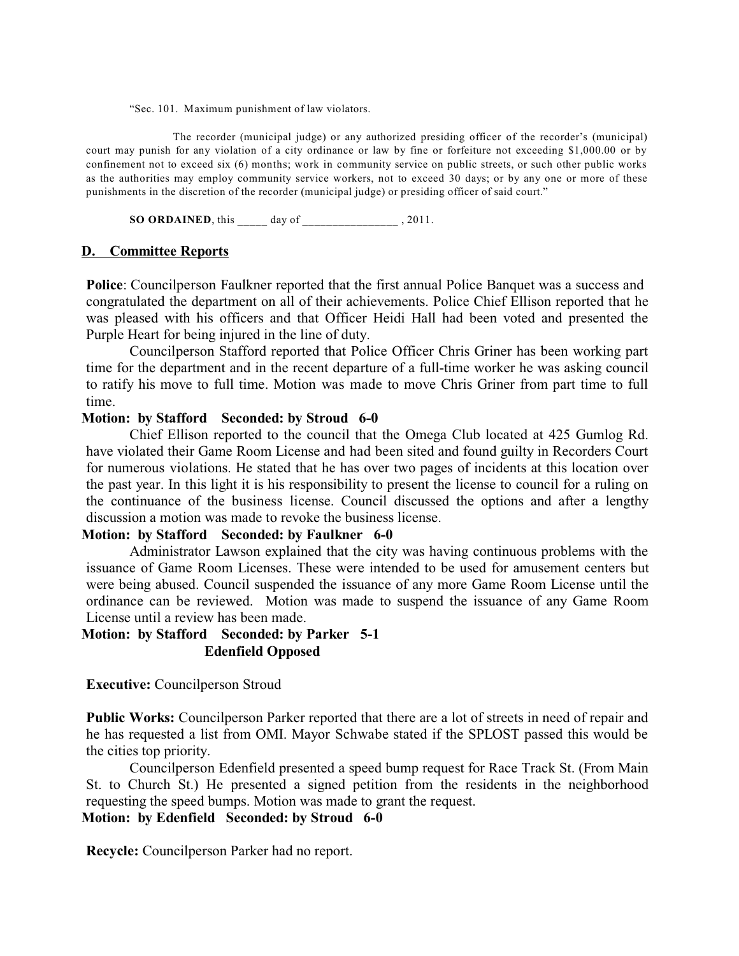"Sec. 101. Maximum punishment of law violators.

The recorder (municipal judge) or any authorized presiding officer of the recorder's (municipal) court may punish for any violation of a city ordinance or law by fine or forfeiture not exceeding \$1,000.00 or by confinement not to exceed six (6) months; work in community service on public streets, or such other public works as the authorities may employ community service workers, not to exceed 30 days; or by any one or more of these punishments in the discretion of the recorder (municipal judge) or presiding officer of said court."

**SO ORDAINED**, this \_\_\_\_\_ day of \_\_\_\_\_\_\_\_\_\_\_\_\_\_\_\_ , 2011.

### **D. Committee Reports**

**Police**: Councilperson Faulkner reported that the first annual Police Banquet was a success and congratulated the department on all of their achievements. Police Chief Ellison reported that he was pleased with his officers and that Officer Heidi Hall had been voted and presented the Purple Heart for being injured in the line of duty.

Councilperson Stafford reported that Police Officer Chris Griner has been working part time for the department and in the recent departure of a full-time worker he was asking council to ratify his move to full time. Motion was made to move Chris Griner from part time to full time.

## **Motion: by Stafford Seconded: by Stroud 6-0**

Chief Ellison reported to the council that the Omega Club located at 425 Gumlog Rd. have violated their Game Room License and had been sited and found guilty in Recorders Court for numerous violations. He stated that he has over two pages of incidents at this location over the past year. In this light it is his responsibility to present the license to council for a ruling on the continuance of the business license. Council discussed the options and after a lengthy discussion a motion was made to revoke the business license.

# **Motion: by Stafford Seconded: by Faulkner 6-0**

Administrator Lawson explained that the city was having continuous problems with the issuance of Game Room Licenses. These were intended to be used for amusement centers but were being abused. Council suspended the issuance of any more Game Room License until the ordinance can be reviewed. Motion was made to suspend the issuance of any Game Room License until a review has been made.

# **Motion: by Stafford Seconded: by Parker 5-1 Edenfield Opposed**

**Executive:** Councilperson Stroud

**Public Works:** Councilperson Parker reported that there are a lot of streets in need of repair and he has requested a list from OMI. Mayor Schwabe stated if the SPLOST passed this would be the cities top priority.

Councilperson Edenfield presented a speed bump request for Race Track St. (From Main St. to Church St.) He presented a signed petition from the residents in the neighborhood requesting the speed bumps. Motion was made to grant the request.

# **Motion: by Edenfield Seconded: by Stroud 6-0**

**Recycle:** Councilperson Parker had no report.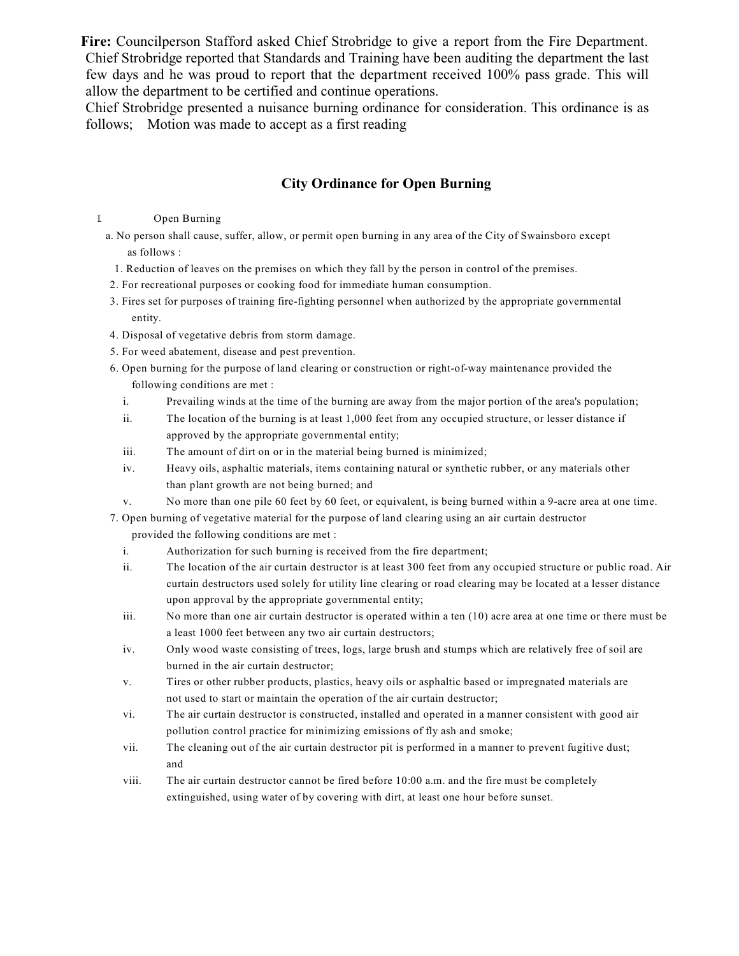**Fire:** Councilperson Stafford asked Chief Strobridge to give a report from the Fire Department. Chief Strobridge reported that Standards and Training have been auditing the department the last few days and he was proud to report that the department received 100% pass grade. This will allow the department to be certified and continue operations.

Chief Strobridge presented a nuisance burning ordinance for consideration. This ordinance is as follows; Motion was made to accept as a first reading

# **City Ordinance for Open Burning**

I. Open Burning

a. No person shall cause, suffer, allow, or permit open burning in any area of the City of Swainsboro except as follows :

- 1. Reduction of leaves on the premises on which they fall by the person in control of the premises.
- 2. For recreational purposes or cooking food for immediate human consumption.
- 3. Fires set for purposes of training fire-fighting personnel when authorized by the appropriate governmental entity.
- 4. Disposal of vegetative debris from storm damage.
- 5. For weed abatement, disease and pest prevention.
- 6. Open burning for the purpose of land clearing or construction or right-of-way maintenance provided the following conditions are met :
	- i. Prevailing winds at the time of the burning are away from the major portion of the area's population;
	- ii. The location of the burning is at least 1,000 feet from any occupied structure, or lesser distance if approved by the appropriate governmental entity;
	- iii. The amount of dirt on or in the material being burned is minimized;
	- iv. Heavy oils, asphaltic materials, items containing natural or synthetic rubber, or any materials other than plant growth are not being burned; and
	- v. No more than one pile 60 feet by 60 feet, or equivalent, is being burned within a 9-acre area at one time.
- 7. Open burning of vegetative material for the purpose of land clearing using an air curtain destructor provided the following conditions are met :
	- i. Authorization for such burning is received from the fire department;
	- ii. The location of the air curtain destructor is at least 300 feet from any occupied structure or public road. Air curtain destructors used solely for utility line clearing or road clearing may be located at a lesser distance upon approval by the appropriate governmental entity;
	- iii. No more than one air curtain destructor is operated within a ten (10) acre area at one time or there must be a least 1000 feet between any two air curtain destructors;
	- iv. Only wood waste consisting of trees, logs, large brush and stumps which are relatively free of soil are burned in the air curtain destructor;
	- v. Tires or other rubber products, plastics, heavy oils or asphaltic based or impregnated materials are not used to start or maintain the operation of the air curtain destructor;
	- vi. The air curtain destructor is constructed, installed and operated in a manner consistent with good air pollution control practice for minimizing emissions of fly ash and smoke;
	- vii. The cleaning out of the air curtain destructor pit is performed in a manner to prevent fugitive dust; and
	- viii. The air curtain destructor cannot be fired before 10:00 a.m. and the fire must be completely extinguished, using water of by covering with dirt, at least one hour before sunset.